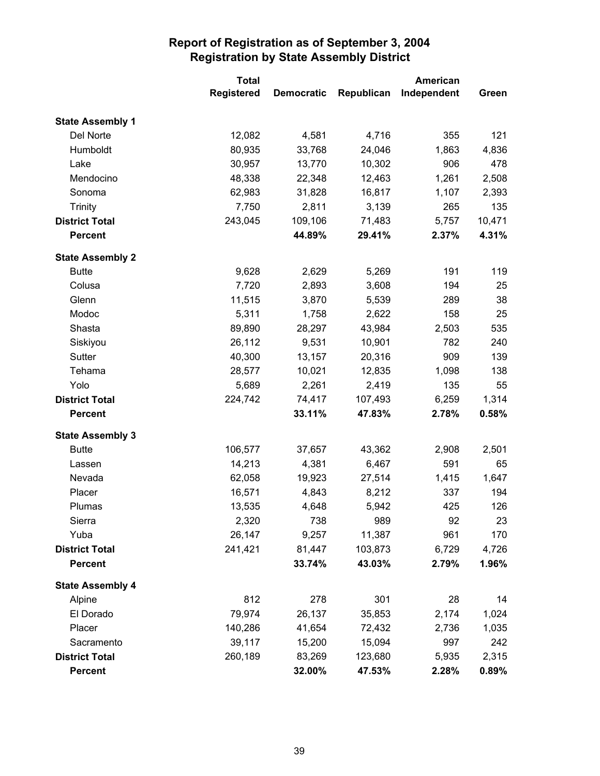|                         | <b>Total</b>      |                   | American   |             |        |
|-------------------------|-------------------|-------------------|------------|-------------|--------|
|                         | <b>Registered</b> | <b>Democratic</b> | Republican | Independent | Green  |
| <b>State Assembly 1</b> |                   |                   |            |             |        |
| Del Norte               | 12,082            | 4,581             | 4,716      | 355         | 121    |
| Humboldt                | 80,935            | 33,768            | 24,046     | 1,863       | 4,836  |
| Lake                    | 30,957            | 13,770            | 10,302     | 906         | 478    |
| Mendocino               | 48,338            | 22,348            | 12,463     | 1,261       | 2,508  |
| Sonoma                  | 62,983            | 31,828            | 16,817     | 1,107       | 2,393  |
| <b>Trinity</b>          | 7,750             | 2,811             | 3,139      | 265         | 135    |
| <b>District Total</b>   | 243,045           | 109,106           | 71,483     | 5,757       | 10,471 |
| <b>Percent</b>          |                   | 44.89%            | 29.41%     | 2.37%       | 4.31%  |
| <b>State Assembly 2</b> |                   |                   |            |             |        |
| <b>Butte</b>            | 9,628             | 2,629             | 5,269      | 191         | 119    |
| Colusa                  | 7,720             | 2,893             | 3,608      | 194         | 25     |
| Glenn                   | 11,515            | 3,870             | 5,539      | 289         | 38     |
| Modoc                   | 5,311             | 1,758             | 2,622      | 158         | 25     |
| Shasta                  | 89,890            | 28,297            | 43,984     | 2,503       | 535    |
| Siskiyou                | 26,112            | 9,531             | 10,901     | 782         | 240    |
| Sutter                  | 40,300            | 13,157            | 20,316     | 909         | 139    |
| Tehama                  | 28,577            | 10,021            | 12,835     | 1,098       | 138    |
| Yolo                    | 5,689             | 2,261             | 2,419      | 135         | 55     |
| <b>District Total</b>   | 224,742           | 74,417            | 107,493    | 6,259       | 1,314  |
| <b>Percent</b>          |                   | 33.11%            | 47.83%     | 2.78%       | 0.58%  |
| <b>State Assembly 3</b> |                   |                   |            |             |        |
| <b>Butte</b>            | 106,577           | 37,657            | 43,362     | 2,908       | 2,501  |
| Lassen                  | 14,213            | 4,381             | 6,467      | 591         | 65     |
| Nevada                  | 62,058            | 19,923            | 27,514     | 1,415       | 1,647  |
| Placer                  | 16,571            | 4,843             | 8,212      | 337         | 194    |
| Plumas                  | 13,535            | 4,648             | 5,942      | 425         | 126    |
| Sierra                  | 2,320             | 738               | 989        | 92          | 23     |
| Yuba                    | 26,147            | 9,257             | 11,387     | 961         | 170    |
| <b>District Total</b>   | 241,421           | 81,447            | 103,873    | 6,729       | 4,726  |
| <b>Percent</b>          |                   | 33.74%            | 43.03%     | 2.79%       | 1.96%  |
| <b>State Assembly 4</b> |                   |                   |            |             |        |
| Alpine                  | 812               | 278               | 301        | 28          | 14     |
| El Dorado               | 79,974            | 26,137            | 35,853     | 2,174       | 1,024  |
| Placer                  | 140,286           | 41,654            | 72,432     | 2,736       | 1,035  |
| Sacramento              | 39,117            | 15,200            | 15,094     | 997         | 242    |
| <b>District Total</b>   | 260,189           | 83,269            | 123,680    | 5,935       | 2,315  |
| <b>Percent</b>          |                   | 32.00%            | 47.53%     | 2.28%       | 0.89%  |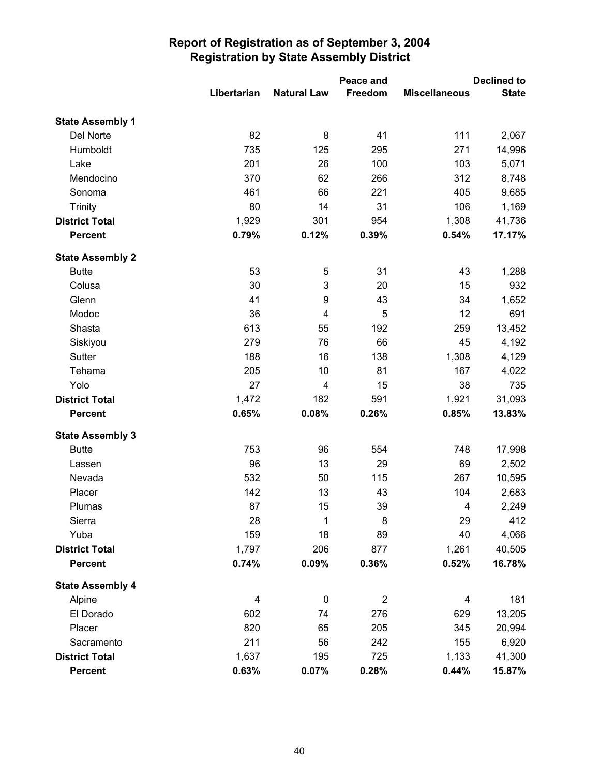|                         |                         |                    | Peace and      |                         | <b>Declined to</b> |
|-------------------------|-------------------------|--------------------|----------------|-------------------------|--------------------|
|                         | Libertarian             | <b>Natural Law</b> | Freedom        | <b>Miscellaneous</b>    | <b>State</b>       |
| <b>State Assembly 1</b> |                         |                    |                |                         |                    |
| Del Norte               | 82                      | 8                  | 41             | 111                     | 2,067              |
| Humboldt                | 735                     | 125                | 295            | 271                     | 14,996             |
| Lake                    | 201                     | 26                 | 100            | 103                     | 5,071              |
| Mendocino               | 370                     | 62                 | 266            | 312                     | 8,748              |
| Sonoma                  | 461                     | 66                 | 221            | 405                     | 9,685              |
| <b>Trinity</b>          | 80                      | 14                 | 31             | 106                     | 1,169              |
| <b>District Total</b>   | 1,929                   | 301                | 954            | 1,308                   | 41,736             |
| <b>Percent</b>          | 0.79%                   | 0.12%              | 0.39%          | 0.54%                   | 17.17%             |
| <b>State Assembly 2</b> |                         |                    |                |                         |                    |
| <b>Butte</b>            | 53                      | 5                  | 31             | 43                      | 1,288              |
| Colusa                  | 30                      | 3                  | 20             | 15                      | 932                |
| Glenn                   | 41                      | 9                  | 43             | 34                      | 1,652              |
| Modoc                   | 36                      | 4                  | 5              | 12                      | 691                |
| Shasta                  | 613                     | 55                 | 192            | 259                     | 13,452             |
| Siskiyou                | 279                     | 76                 | 66             | 45                      | 4,192              |
| Sutter                  | 188                     | 16                 | 138            | 1,308                   | 4,129              |
| Tehama                  | 205                     | 10                 | 81             | 167                     | 4,022              |
| Yolo                    | 27                      | 4                  | 15             | 38                      | 735                |
| <b>District Total</b>   | 1,472                   | 182                | 591            | 1,921                   | 31,093             |
| <b>Percent</b>          | 0.65%                   | 0.08%              | 0.26%          | 0.85%                   | 13.83%             |
| <b>State Assembly 3</b> |                         |                    |                |                         |                    |
| <b>Butte</b>            | 753                     | 96                 | 554            | 748                     | 17,998             |
| Lassen                  | 96                      | 13                 | 29             | 69                      | 2,502              |
| Nevada                  | 532                     | 50                 | 115            | 267                     | 10,595             |
| Placer                  | 142                     | 13                 | 43             | 104                     | 2,683              |
| Plumas                  | 87                      | 15                 | 39             | 4                       | 2,249              |
| Sierra                  | 28                      | 1                  | 8              | 29                      | 412                |
| Yuba                    | 159                     | 18                 | 89             | 40                      | 4,066              |
| <b>District Total</b>   | 1,797                   | 206                | 877            | 1,261                   | 40,505             |
| <b>Percent</b>          | 0.74%                   | 0.09%              | 0.36%          | 0.52%                   | 16.78%             |
| <b>State Assembly 4</b> |                         |                    |                |                         |                    |
| Alpine                  | $\overline{\mathbf{4}}$ | $\pmb{0}$          | $\overline{2}$ | $\overline{\mathbf{4}}$ | 181                |
| El Dorado               | 602                     | 74                 | 276            | 629                     | 13,205             |
| Placer                  | 820                     | 65                 | 205            | 345                     | 20,994             |
| Sacramento              | 211                     | 56                 | 242            | 155                     | 6,920              |
| <b>District Total</b>   | 1,637                   | 195                | 725            | 1,133                   | 41,300             |
| <b>Percent</b>          | 0.63%                   | 0.07%              | 0.28%          | 0.44%                   | 15.87%             |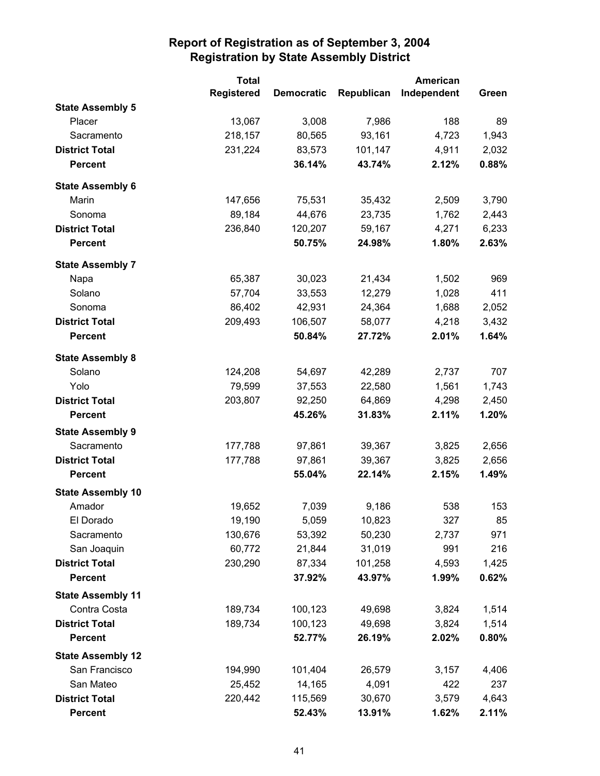|                          | <b>Total</b>      |                   | American   |             |       |
|--------------------------|-------------------|-------------------|------------|-------------|-------|
|                          | <b>Registered</b> | <b>Democratic</b> | Republican | Independent | Green |
| <b>State Assembly 5</b>  |                   |                   |            |             |       |
| Placer                   | 13,067            | 3,008             | 7,986      | 188         | 89    |
| Sacramento               | 218,157           | 80,565            | 93,161     | 4,723       | 1,943 |
| <b>District Total</b>    | 231,224           | 83,573            | 101,147    | 4,911       | 2,032 |
| <b>Percent</b>           |                   | 36.14%            | 43.74%     | 2.12%       | 0.88% |
| <b>State Assembly 6</b>  |                   |                   |            |             |       |
| Marin                    | 147,656           | 75,531            | 35,432     | 2,509       | 3,790 |
| Sonoma                   | 89,184            | 44,676            | 23,735     | 1,762       | 2,443 |
| <b>District Total</b>    | 236,840           | 120,207           | 59,167     | 4,271       | 6,233 |
| <b>Percent</b>           |                   | 50.75%            | 24.98%     | 1.80%       | 2.63% |
| <b>State Assembly 7</b>  |                   |                   |            |             |       |
| Napa                     | 65,387            | 30,023            | 21,434     | 1,502       | 969   |
| Solano                   | 57,704            | 33,553            | 12,279     | 1,028       | 411   |
| Sonoma                   | 86,402            | 42,931            | 24,364     | 1,688       | 2,052 |
| <b>District Total</b>    | 209,493           | 106,507           | 58,077     | 4,218       | 3,432 |
| <b>Percent</b>           |                   | 50.84%            | 27.72%     | 2.01%       | 1.64% |
| <b>State Assembly 8</b>  |                   |                   |            |             |       |
| Solano                   | 124,208           | 54,697            | 42,289     | 2,737       | 707   |
| Yolo                     | 79,599            | 37,553            | 22,580     | 1,561       | 1,743 |
| <b>District Total</b>    | 203,807           | 92,250            | 64,869     | 4,298       | 2,450 |
| <b>Percent</b>           |                   | 45.26%            | 31.83%     | 2.11%       | 1.20% |
| <b>State Assembly 9</b>  |                   |                   |            |             |       |
| Sacramento               | 177,788           | 97,861            | 39,367     | 3,825       | 2,656 |
| <b>District Total</b>    | 177,788           | 97,861            | 39,367     | 3,825       | 2,656 |
| <b>Percent</b>           |                   | 55.04%            | 22.14%     | 2.15%       | 1.49% |
| <b>State Assembly 10</b> |                   |                   |            |             |       |
| Amador                   | 19,652            | 7,039             | 9,186      | 538         | 153   |
| El Dorado                | 19,190            | 5,059             | 10,823     | 327         | 85    |
| Sacramento               | 130,676           | 53,392            | 50,230     | 2,737       | 971   |
| San Joaquin              | 60,772            | 21,844            | 31,019     | 991         | 216   |
| <b>District Total</b>    | 230,290           | 87,334            | 101,258    | 4,593       | 1,425 |
| <b>Percent</b>           |                   | 37.92%            | 43.97%     | 1.99%       | 0.62% |
| <b>State Assembly 11</b> |                   |                   |            |             |       |
| Contra Costa             | 189,734           | 100,123           | 49,698     | 3,824       | 1,514 |
| <b>District Total</b>    | 189,734           | 100,123           | 49,698     | 3,824       | 1,514 |
| <b>Percent</b>           |                   | 52.77%            | 26.19%     | 2.02%       | 0.80% |
| <b>State Assembly 12</b> |                   |                   |            |             |       |
| San Francisco            | 194,990           | 101,404           | 26,579     | 3,157       | 4,406 |
| San Mateo                | 25,452            | 14,165            | 4,091      | 422         | 237   |
| <b>District Total</b>    | 220,442           | 115,569           | 30,670     | 3,579       | 4,643 |
| Percent                  |                   | 52.43%            | 13.91%     | 1.62%       | 2.11% |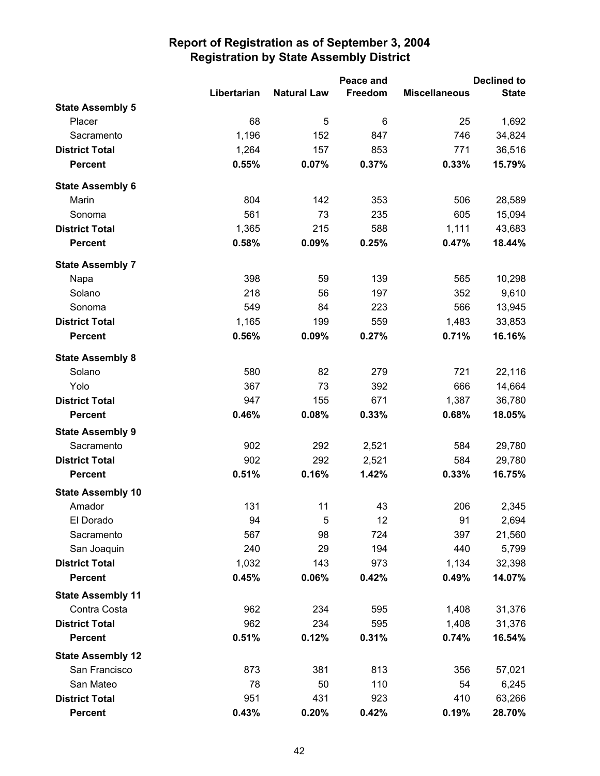|                          |             |                    | Peace and |                      | <b>Declined to</b> |
|--------------------------|-------------|--------------------|-----------|----------------------|--------------------|
|                          | Libertarian | <b>Natural Law</b> | Freedom   | <b>Miscellaneous</b> | <b>State</b>       |
| <b>State Assembly 5</b>  |             |                    |           |                      |                    |
| Placer                   | 68          | 5                  | 6         | 25                   | 1,692              |
| Sacramento               | 1,196       | 152                | 847       | 746                  | 34,824             |
| <b>District Total</b>    | 1,264       | 157                | 853       | 771                  | 36,516             |
| <b>Percent</b>           | 0.55%       | 0.07%              | 0.37%     | 0.33%                | 15.79%             |
| <b>State Assembly 6</b>  |             |                    |           |                      |                    |
| Marin                    | 804         | 142                | 353       | 506                  | 28,589             |
| Sonoma                   | 561         | 73                 | 235       | 605                  | 15,094             |
| <b>District Total</b>    | 1,365       | 215                | 588       | 1,111                | 43,683             |
| <b>Percent</b>           | 0.58%       | 0.09%              | 0.25%     | 0.47%                | 18.44%             |
| <b>State Assembly 7</b>  |             |                    |           |                      |                    |
| Napa                     | 398         | 59                 | 139       | 565                  | 10,298             |
| Solano                   | 218         | 56                 | 197       | 352                  | 9,610              |
| Sonoma                   | 549         | 84                 | 223       | 566                  | 13,945             |
| <b>District Total</b>    | 1,165       | 199                | 559       | 1,483                | 33,853             |
| <b>Percent</b>           | 0.56%       | 0.09%              | 0.27%     | 0.71%                | 16.16%             |
| <b>State Assembly 8</b>  |             |                    |           |                      |                    |
| Solano                   | 580         | 82                 | 279       | 721                  | 22,116             |
| Yolo                     | 367         | 73                 | 392       | 666                  | 14,664             |
| <b>District Total</b>    | 947         | 155                | 671       | 1,387                | 36,780             |
| <b>Percent</b>           | 0.46%       | 0.08%              | 0.33%     | 0.68%                | 18.05%             |
| <b>State Assembly 9</b>  |             |                    |           |                      |                    |
| Sacramento               | 902         | 292                | 2,521     | 584                  | 29,780             |
| <b>District Total</b>    | 902         | 292                | 2,521     | 584                  | 29,780             |
| <b>Percent</b>           | 0.51%       | 0.16%              | 1.42%     | 0.33%                | 16.75%             |
| <b>State Assembly 10</b> |             |                    |           |                      |                    |
| Amador                   | 131         | 11                 | 43        | 206                  | 2,345              |
| El Dorado                | 94          | 5                  | 12        | 91                   | 2,694              |
| Sacramento               | 567         | 98                 | 724       | 397                  | 21,560             |
| San Joaquin              | 240         | 29                 | 194       | 440                  | 5,799              |
| <b>District Total</b>    | 1,032       | 143                | 973       | 1,134                | 32,398             |
| <b>Percent</b>           | 0.45%       | 0.06%              | 0.42%     | 0.49%                | 14.07%             |
| <b>State Assembly 11</b> |             |                    |           |                      |                    |
| Contra Costa             | 962         | 234                | 595       | 1,408                | 31,376             |
| <b>District Total</b>    | 962         | 234                | 595       | 1,408                | 31,376             |
| <b>Percent</b>           | 0.51%       | 0.12%              | 0.31%     | 0.74%                | 16.54%             |
| <b>State Assembly 12</b> |             |                    |           |                      |                    |
| San Francisco            | 873         | 381                | 813       | 356                  | 57,021             |
| San Mateo                | 78          | 50                 | 110       | 54                   | 6,245              |
| <b>District Total</b>    | 951         | 431                | 923       | 410                  | 63,266             |
| <b>Percent</b>           | 0.43%       | 0.20%              | 0.42%     | 0.19%                | 28.70%             |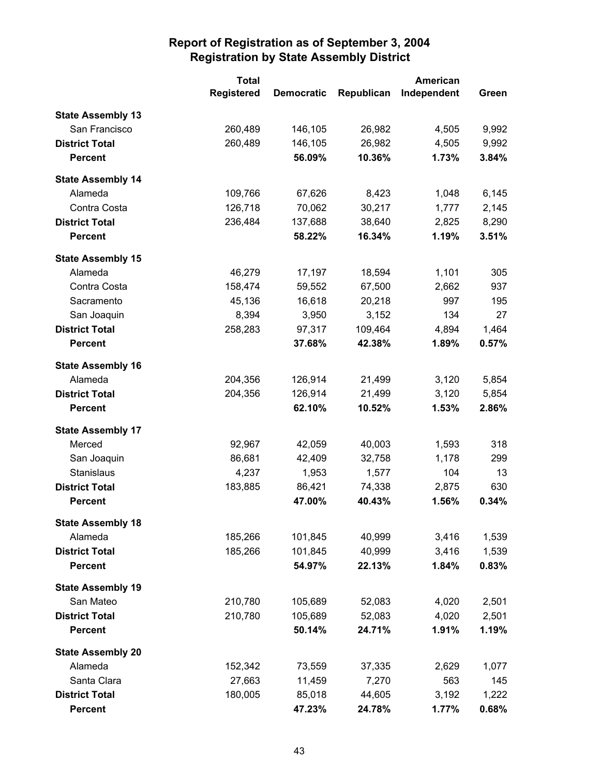|                          | <b>Total</b>      |                   | <b>American</b> |             |       |
|--------------------------|-------------------|-------------------|-----------------|-------------|-------|
|                          | <b>Registered</b> | <b>Democratic</b> | Republican      | Independent | Green |
| <b>State Assembly 13</b> |                   |                   |                 |             |       |
| San Francisco            | 260,489           | 146,105           | 26,982          | 4,505       | 9,992 |
| <b>District Total</b>    | 260,489           | 146,105           | 26,982          | 4,505       | 9,992 |
| <b>Percent</b>           |                   | 56.09%            | 10.36%          | 1.73%       | 3.84% |
| <b>State Assembly 14</b> |                   |                   |                 |             |       |
| Alameda                  | 109,766           | 67,626            | 8,423           | 1,048       | 6,145 |
| Contra Costa             | 126,718           | 70,062            | 30,217          | 1,777       | 2,145 |
| <b>District Total</b>    | 236,484           | 137,688           | 38,640          | 2,825       | 8,290 |
| <b>Percent</b>           |                   | 58.22%            | 16.34%          | 1.19%       | 3.51% |
| <b>State Assembly 15</b> |                   |                   |                 |             |       |
| Alameda                  | 46,279            | 17,197            | 18,594          | 1,101       | 305   |
| Contra Costa             | 158,474           | 59,552            | 67,500          | 2,662       | 937   |
| Sacramento               | 45,136            | 16,618            | 20,218          | 997         | 195   |
| San Joaquin              | 8,394             | 3,950             | 3,152           | 134         | 27    |
| <b>District Total</b>    | 258,283           | 97,317            | 109,464         | 4,894       | 1,464 |
| <b>Percent</b>           |                   | 37.68%            | 42.38%          | 1.89%       | 0.57% |
| <b>State Assembly 16</b> |                   |                   |                 |             |       |
| Alameda                  | 204,356           | 126,914           | 21,499          | 3,120       | 5,854 |
| <b>District Total</b>    | 204,356           | 126,914           | 21,499          | 3,120       | 5,854 |
| <b>Percent</b>           |                   | 62.10%            | 10.52%          | 1.53%       | 2.86% |
| <b>State Assembly 17</b> |                   |                   |                 |             |       |
| Merced                   | 92,967            | 42,059            | 40,003          | 1,593       | 318   |
| San Joaquin              | 86,681            | 42,409            | 32,758          | 1,178       | 299   |
| Stanislaus               | 4,237             | 1,953             | 1,577           | 104         | 13    |
| <b>District Total</b>    | 183,885           | 86,421            | 74,338          | 2,875       | 630   |
| <b>Percent</b>           |                   | 47.00%            | 40.43%          | 1.56%       | 0.34% |
| <b>State Assembly 18</b> |                   |                   |                 |             |       |
| Alameda                  | 185,266           | 101,845           | 40,999          | 3,416       | 1,539 |
| <b>District Total</b>    | 185,266           | 101,845           | 40,999          | 3,416       | 1,539 |
| <b>Percent</b>           |                   | 54.97%            | 22.13%          | 1.84%       | 0.83% |
| <b>State Assembly 19</b> |                   |                   |                 |             |       |
| San Mateo                | 210,780           | 105,689           | 52,083          | 4,020       | 2,501 |
| <b>District Total</b>    | 210,780           | 105,689           | 52,083          | 4,020       | 2,501 |
| <b>Percent</b>           |                   | 50.14%            | 24.71%          | 1.91%       | 1.19% |
| <b>State Assembly 20</b> |                   |                   |                 |             |       |
| Alameda                  | 152,342           | 73,559            | 37,335          | 2,629       | 1,077 |
| Santa Clara              | 27,663            | 11,459            | 7,270           | 563         | 145   |
| <b>District Total</b>    | 180,005           | 85,018            | 44,605          | 3,192       | 1,222 |
| <b>Percent</b>           |                   | 47.23%            | 24.78%          | 1.77%       | 0.68% |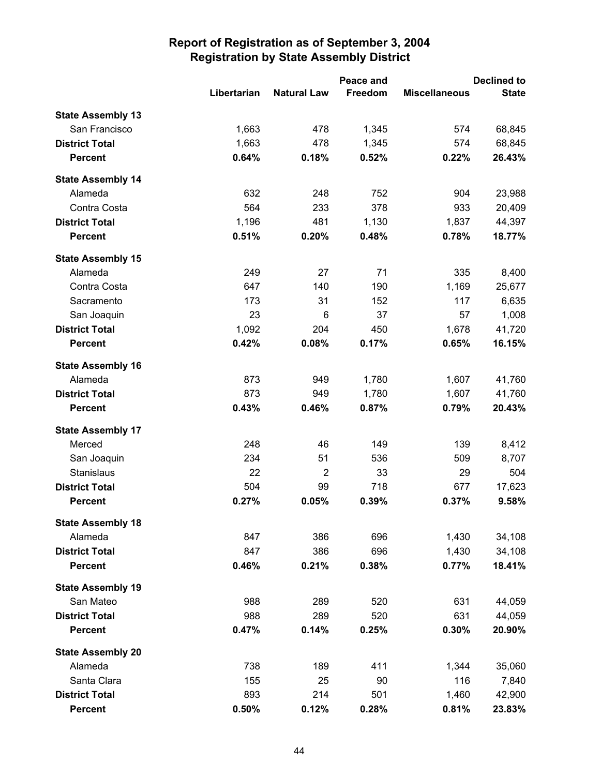|                          |             |                    | Peace and | <b>Declined to</b>   |              |  |
|--------------------------|-------------|--------------------|-----------|----------------------|--------------|--|
|                          | Libertarian | <b>Natural Law</b> | Freedom   | <b>Miscellaneous</b> | <b>State</b> |  |
| <b>State Assembly 13</b> |             |                    |           |                      |              |  |
| San Francisco            | 1,663       | 478                | 1,345     | 574                  | 68,845       |  |
| <b>District Total</b>    | 1,663       | 478                | 1,345     | 574                  | 68,845       |  |
| <b>Percent</b>           | 0.64%       | 0.18%              | 0.52%     | 0.22%                | 26.43%       |  |
| <b>State Assembly 14</b> |             |                    |           |                      |              |  |
| Alameda                  | 632         | 248                | 752       | 904                  | 23,988       |  |
| Contra Costa             | 564         | 233                | 378       | 933                  | 20,409       |  |
| <b>District Total</b>    | 1,196       | 481                | 1,130     | 1,837                | 44,397       |  |
| <b>Percent</b>           | 0.51%       | 0.20%              | 0.48%     | 0.78%                | 18.77%       |  |
| <b>State Assembly 15</b> |             |                    |           |                      |              |  |
| Alameda                  | 249         | 27                 | 71        | 335                  | 8,400        |  |
| Contra Costa             | 647         | 140                | 190       | 1,169                | 25,677       |  |
| Sacramento               | 173         | 31                 | 152       | 117                  | 6,635        |  |
| San Joaquin              | 23          | 6                  | 37        | 57                   | 1,008        |  |
| <b>District Total</b>    | 1,092       | 204                | 450       | 1,678                | 41,720       |  |
| <b>Percent</b>           | 0.42%       | 0.08%              | 0.17%     | 0.65%                | 16.15%       |  |
| <b>State Assembly 16</b> |             |                    |           |                      |              |  |
| Alameda                  | 873         | 949                | 1,780     | 1,607                | 41,760       |  |
| <b>District Total</b>    | 873         | 949                | 1,780     | 1,607                | 41,760       |  |
| <b>Percent</b>           | 0.43%       | 0.46%              | 0.87%     | 0.79%                | 20.43%       |  |
| <b>State Assembly 17</b> |             |                    |           |                      |              |  |
| Merced                   | 248         | 46                 | 149       | 139                  | 8,412        |  |
| San Joaquin              | 234         | 51                 | 536       | 509                  | 8,707        |  |
| Stanislaus               | 22          | $\overline{2}$     | 33        | 29                   | 504          |  |
| <b>District Total</b>    | 504         | 99                 | 718       | 677                  | 17,623       |  |
| <b>Percent</b>           | 0.27%       | 0.05%              | 0.39%     | 0.37%                | 9.58%        |  |
| <b>State Assembly 18</b> |             |                    |           |                      |              |  |
| Alameda                  | 847         | 386                | 696       | 1,430                | 34,108       |  |
| <b>District Total</b>    | 847         | 386                | 696       | 1,430                | 34,108       |  |
| <b>Percent</b>           | 0.46%       | 0.21%              | 0.38%     | 0.77%                | 18.41%       |  |
| <b>State Assembly 19</b> |             |                    |           |                      |              |  |
| San Mateo                | 988         | 289                | 520       | 631                  | 44,059       |  |
| <b>District Total</b>    | 988         | 289                | 520       | 631                  | 44,059       |  |
| <b>Percent</b>           | 0.47%       | 0.14%              | 0.25%     | 0.30%                | 20.90%       |  |
| <b>State Assembly 20</b> |             |                    |           |                      |              |  |
| Alameda                  | 738         | 189                | 411       | 1,344                | 35,060       |  |
| Santa Clara              | 155         | 25                 | 90        | 116                  | 7,840        |  |
| <b>District Total</b>    | 893         | 214                | 501       | 1,460                | 42,900       |  |
| <b>Percent</b>           | 0.50%       | 0.12%              | 0.28%     | 0.81%                | 23.83%       |  |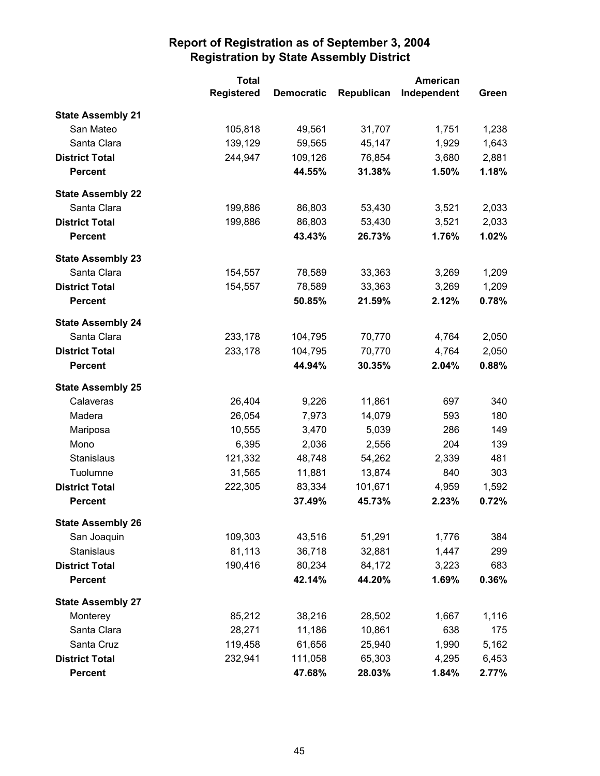|                          | <b>Total</b>      | <b>American</b>   |            |             |       |
|--------------------------|-------------------|-------------------|------------|-------------|-------|
|                          | <b>Registered</b> | <b>Democratic</b> | Republican | Independent | Green |
| <b>State Assembly 21</b> |                   |                   |            |             |       |
| San Mateo                | 105,818           | 49,561            | 31,707     | 1,751       | 1,238 |
| Santa Clara              | 139,129           | 59,565            | 45,147     | 1,929       | 1,643 |
| <b>District Total</b>    | 244,947           | 109,126           | 76,854     | 3,680       | 2,881 |
| <b>Percent</b>           |                   | 44.55%            | 31.38%     | 1.50%       | 1.18% |
| <b>State Assembly 22</b> |                   |                   |            |             |       |
| Santa Clara              | 199,886           | 86,803            | 53,430     | 3,521       | 2,033 |
| <b>District Total</b>    | 199,886           | 86,803            | 53,430     | 3,521       | 2,033 |
| <b>Percent</b>           |                   | 43.43%            | 26.73%     | 1.76%       | 1.02% |
| <b>State Assembly 23</b> |                   |                   |            |             |       |
| Santa Clara              | 154,557           | 78,589            | 33,363     | 3,269       | 1,209 |
| <b>District Total</b>    | 154,557           | 78,589            | 33,363     | 3,269       | 1,209 |
| <b>Percent</b>           |                   | 50.85%            | 21.59%     | 2.12%       | 0.78% |
| <b>State Assembly 24</b> |                   |                   |            |             |       |
| Santa Clara              | 233,178           | 104,795           | 70,770     | 4,764       | 2,050 |
| <b>District Total</b>    | 233,178           | 104,795           | 70,770     | 4,764       | 2,050 |
| <b>Percent</b>           |                   | 44.94%            | 30.35%     | 2.04%       | 0.88% |
| <b>State Assembly 25</b> |                   |                   |            |             |       |
| Calaveras                | 26,404            | 9,226             | 11,861     | 697         | 340   |
| Madera                   | 26,054            | 7,973             | 14,079     | 593         | 180   |
| Mariposa                 | 10,555            | 3,470             | 5,039      | 286         | 149   |
| Mono                     | 6,395             | 2,036             | 2,556      | 204         | 139   |
| Stanislaus               | 121,332           | 48,748            | 54,262     | 2,339       | 481   |
| Tuolumne                 | 31,565            | 11,881            | 13,874     | 840         | 303   |
| <b>District Total</b>    | 222,305           | 83,334            | 101,671    | 4,959       | 1,592 |
| <b>Percent</b>           |                   | 37.49%            | 45.73%     | 2.23%       | 0.72% |
| <b>State Assembly 26</b> |                   |                   |            |             |       |
| San Joaquin              | 109,303           | 43,516            | 51,291     | 1,776       | 384   |
| Stanislaus               | 81,113            | 36,718            | 32,881     | 1,447       | 299   |
| <b>District Total</b>    | 190,416           | 80,234            | 84,172     | 3,223       | 683   |
| <b>Percent</b>           |                   | 42.14%            | 44.20%     | 1.69%       | 0.36% |
| <b>State Assembly 27</b> |                   |                   |            |             |       |
| Monterey                 | 85,212            | 38,216            | 28,502     | 1,667       | 1,116 |
| Santa Clara              | 28,271            | 11,186            | 10,861     | 638         | 175   |
| Santa Cruz               | 119,458           | 61,656            | 25,940     | 1,990       | 5,162 |
| <b>District Total</b>    | 232,941           | 111,058           | 65,303     | 4,295       | 6,453 |
| <b>Percent</b>           |                   | 47.68%            | 28.03%     | 1.84%       | 2.77% |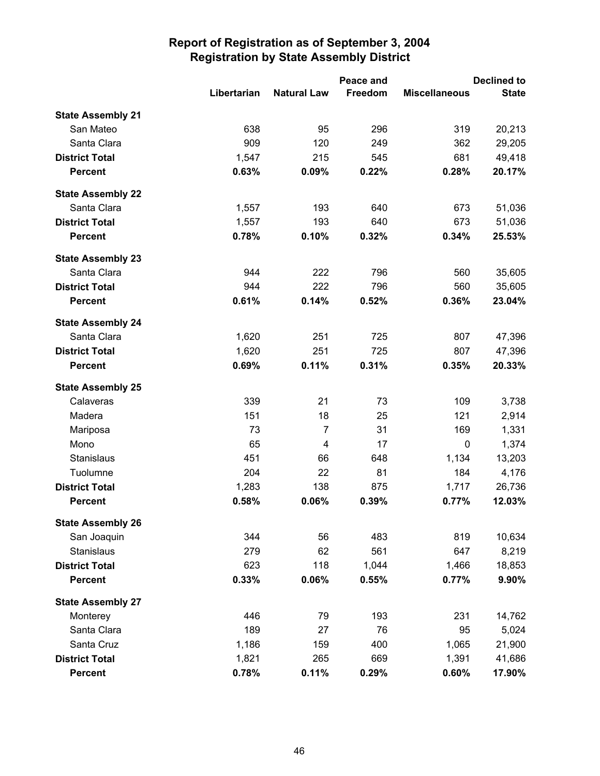|                          |             | Peace and          |         | <b>Declined to</b>   |              |  |
|--------------------------|-------------|--------------------|---------|----------------------|--------------|--|
|                          | Libertarian | <b>Natural Law</b> | Freedom | <b>Miscellaneous</b> | <b>State</b> |  |
| <b>State Assembly 21</b> |             |                    |         |                      |              |  |
| San Mateo                | 638         | 95                 | 296     | 319                  | 20,213       |  |
| Santa Clara              | 909         | 120                | 249     | 362                  | 29,205       |  |
| <b>District Total</b>    | 1,547       | 215                | 545     | 681                  | 49,418       |  |
| <b>Percent</b>           | 0.63%       | 0.09%              | 0.22%   | 0.28%                | 20.17%       |  |
| <b>State Assembly 22</b> |             |                    |         |                      |              |  |
| Santa Clara              | 1,557       | 193                | 640     | 673                  | 51,036       |  |
| <b>District Total</b>    | 1,557       | 193                | 640     | 673                  | 51,036       |  |
| <b>Percent</b>           | 0.78%       | 0.10%              | 0.32%   | 0.34%                | 25.53%       |  |
| <b>State Assembly 23</b> |             |                    |         |                      |              |  |
| Santa Clara              | 944         | 222                | 796     | 560                  | 35,605       |  |
| <b>District Total</b>    | 944         | 222                | 796     | 560                  | 35,605       |  |
| <b>Percent</b>           | 0.61%       | 0.14%              | 0.52%   | 0.36%                | 23.04%       |  |
| <b>State Assembly 24</b> |             |                    |         |                      |              |  |
| Santa Clara              | 1,620       | 251                | 725     | 807                  | 47,396       |  |
| <b>District Total</b>    | 1,620       | 251                | 725     | 807                  | 47,396       |  |
| <b>Percent</b>           | 0.69%       | 0.11%              | 0.31%   | 0.35%                | 20.33%       |  |
| <b>State Assembly 25</b> |             |                    |         |                      |              |  |
| Calaveras                | 339         | 21                 | 73      | 109                  | 3,738        |  |
| Madera                   | 151         | 18                 | 25      | 121                  | 2,914        |  |
| Mariposa                 | 73          | $\overline{7}$     | 31      | 169                  | 1,331        |  |
| Mono                     | 65          | 4                  | 17      | 0                    | 1,374        |  |
| Stanislaus               | 451         | 66                 | 648     | 1,134                | 13,203       |  |
| Tuolumne                 | 204         | 22                 | 81      | 184                  | 4,176        |  |
| <b>District Total</b>    | 1,283       | 138                | 875     | 1,717                | 26,736       |  |
| <b>Percent</b>           | 0.58%       | 0.06%              | 0.39%   | 0.77%                | 12.03%       |  |
| <b>State Assembly 26</b> |             |                    |         |                      |              |  |
| San Joaquin              | 344         | 56                 | 483     | 819                  | 10,634       |  |
| <b>Stanislaus</b>        | 279         | 62                 | 561     | 647                  | 8,219        |  |
| <b>District Total</b>    | 623         | 118                | 1,044   | 1,466                | 18,853       |  |
| <b>Percent</b>           | 0.33%       | 0.06%              | 0.55%   | 0.77%                | 9.90%        |  |
| <b>State Assembly 27</b> |             |                    |         |                      |              |  |
| Monterey                 | 446         | 79                 | 193     | 231                  | 14,762       |  |
| Santa Clara              | 189         | 27                 | 76      | 95                   | 5,024        |  |
| Santa Cruz               | 1,186       | 159                | 400     | 1,065                | 21,900       |  |
| <b>District Total</b>    | 1,821       | 265                | 669     | 1,391                | 41,686       |  |
| <b>Percent</b>           | 0.78%       | 0.11%              | 0.29%   | 0.60%                | 17.90%       |  |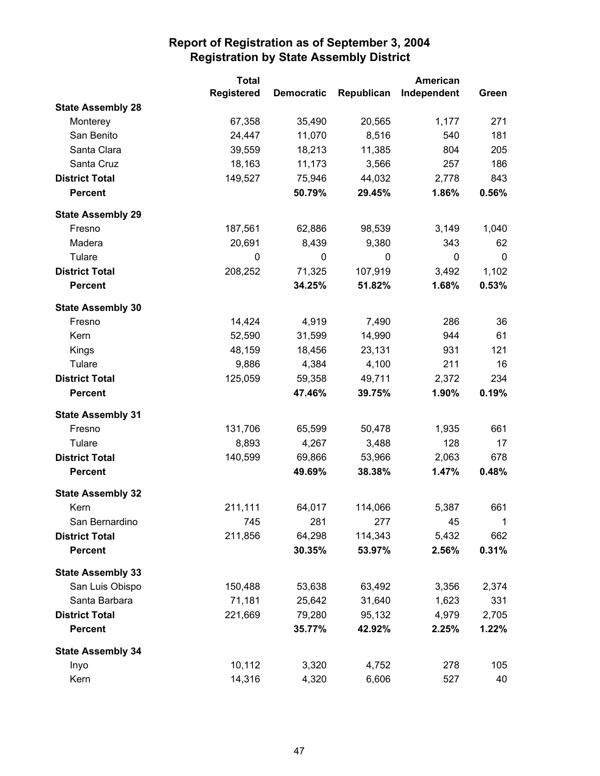|                          | <b>Total</b>      |                   |            | <b>American</b> |              |
|--------------------------|-------------------|-------------------|------------|-----------------|--------------|
|                          | <b>Registered</b> | <b>Democratic</b> | Republican | Independent     | Green        |
| <b>State Assembly 28</b> |                   |                   |            |                 |              |
| Monterey                 | 67,358            | 35,490            | 20,565     | 1,177           | 271          |
| San Benito               | 24,447            | 11,070            | 8,516      | 540             | 181          |
| Santa Clara              | 39,559            | 18,213            | 11,385     | 804             | 205          |
| Santa Cruz               | 18,163            | 11,173            | 3,566      | 257             | 186          |
| <b>District Total</b>    | 149,527           | 75,946            | 44,032     | 2,778           | 843          |
| <b>Percent</b>           |                   | 50.79%            | 29.45%     | 1.86%           | 0.56%        |
| <b>State Assembly 29</b> |                   |                   |            |                 |              |
| Fresno                   | 187,561           | 62,886            | 98,539     | 3,149           | 1,040        |
| Madera                   | 20,691            | 8,439             | 9,380      | 343             | 62           |
| Tulare                   | $\mathbf 0$       | 0                 | 0          | $\pmb{0}$       | 0            |
| <b>District Total</b>    | 208,252           | 71,325            | 107,919    | 3,492           | 1,102        |
| <b>Percent</b>           |                   | 34.25%            | 51.82%     | 1.68%           | 0.53%        |
| <b>State Assembly 30</b> |                   |                   |            |                 |              |
| Fresno                   | 14,424            | 4,919             | 7,490      | 286             | 36           |
| Kern                     | 52,590            | 31,599            | 14,990     | 944             | 61           |
| Kings                    | 48,159            | 18,456            | 23,131     | 931             | 121          |
| Tulare                   | 9,886             | 4,384             | 4,100      | 211             | 16           |
| <b>District Total</b>    | 125,059           | 59,358            | 49,711     | 2,372           | 234          |
| <b>Percent</b>           |                   | 47.46%            | 39.75%     | 1.90%           | 0.19%        |
| <b>State Assembly 31</b> |                   |                   |            |                 |              |
| Fresno                   | 131,706           | 65,599            | 50,478     | 1,935           | 661          |
| Tulare                   | 8,893             | 4,267             | 3,488      | 128             | 17           |
| <b>District Total</b>    | 140,599           | 69,866            | 53,966     | 2,063           | 678          |
| <b>Percent</b>           |                   | 49.69%            | 38.38%     | 1.47%           | 0.48%        |
| <b>State Assembly 32</b> |                   |                   |            |                 |              |
| Kern                     | 211,111           | 64,017            | 114,066    | 5,387           | 661          |
| San Bernardino           | 745               | 281               | 277        | 45              | $\mathbf{1}$ |
| <b>District Total</b>    | 211,856           | 64,298            | 114,343    | 5,432           | 662          |
| <b>Percent</b>           |                   | 30.35%            | 53.97%     | 2.56%           | 0.31%        |
| <b>State Assembly 33</b> |                   |                   |            |                 |              |
| San Luis Obispo          | 150,488           | 53,638            | 63,492     | 3,356           | 2,374        |
| Santa Barbara            | 71,181            | 25,642            | 31,640     | 1,623           | 331          |
| <b>District Total</b>    | 221,669           | 79,280            | 95,132     | 4,979           | 2,705        |
| <b>Percent</b>           |                   | 35.77%            | 42.92%     | 2.25%           | 1.22%        |
| <b>State Assembly 34</b> |                   |                   |            |                 |              |
| Inyo                     | 10,112            | 3,320             | 4,752      | 278             | 105          |
| Kern                     | 14,316            | 4,320             | 6,606      | 527             | 40           |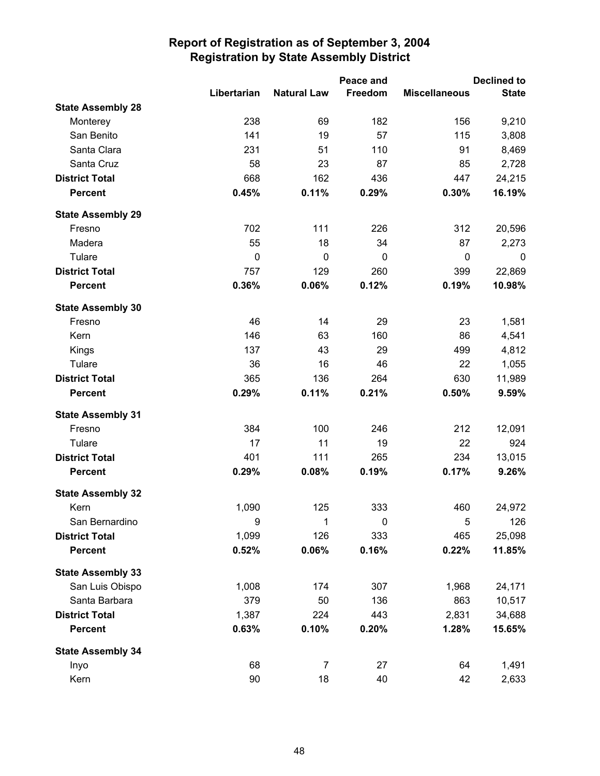|                          |             |                    | Peace and |                      | <b>Declined to</b> |
|--------------------------|-------------|--------------------|-----------|----------------------|--------------------|
|                          | Libertarian | <b>Natural Law</b> | Freedom   | <b>Miscellaneous</b> | <b>State</b>       |
| <b>State Assembly 28</b> |             |                    |           |                      |                    |
| Monterey                 | 238         | 69                 | 182       | 156                  | 9,210              |
| San Benito               | 141         | 19                 | 57        | 115                  | 3,808              |
| Santa Clara              | 231         | 51                 | 110       | 91                   | 8,469              |
| Santa Cruz               | 58          | 23                 | 87        | 85                   | 2,728              |
| <b>District Total</b>    | 668         | 162                | 436       | 447                  | 24,215             |
| <b>Percent</b>           | 0.45%       | 0.11%              | 0.29%     | 0.30%                | 16.19%             |
| <b>State Assembly 29</b> |             |                    |           |                      |                    |
| Fresno                   | 702         | 111                | 226       | 312                  | 20,596             |
| Madera                   | 55          | 18                 | 34        | 87                   | 2,273              |
| Tulare                   | $\mathbf 0$ | $\mathbf 0$        | 0         | 0                    | 0                  |
| <b>District Total</b>    | 757         | 129                | 260       | 399                  | 22,869             |
| <b>Percent</b>           | 0.36%       | 0.06%              | 0.12%     | 0.19%                | 10.98%             |
| <b>State Assembly 30</b> |             |                    |           |                      |                    |
| Fresno                   | 46          | 14                 | 29        | 23                   | 1,581              |
| Kern                     | 146         | 63                 | 160       | 86                   | 4,541              |
| Kings                    | 137         | 43                 | 29        | 499                  | 4,812              |
| Tulare                   | 36          | 16                 | 46        | 22                   | 1,055              |
| <b>District Total</b>    | 365         | 136                | 264       | 630                  | 11,989             |
| <b>Percent</b>           | 0.29%       | 0.11%              | 0.21%     | 0.50%                | 9.59%              |
| <b>State Assembly 31</b> |             |                    |           |                      |                    |
| Fresno                   | 384         | 100                | 246       | 212                  | 12,091             |
| Tulare                   | 17          | 11                 | 19        | 22                   | 924                |
| <b>District Total</b>    | 401         | 111                | 265       | 234                  | 13,015             |
| <b>Percent</b>           | 0.29%       | 0.08%              | 0.19%     | 0.17%                | 9.26%              |
| <b>State Assembly 32</b> |             |                    |           |                      |                    |
| Kern                     | 1,090       | 125                | 333       | 460                  | 24,972             |
| San Bernardino           | 9           | 1                  | 0         | 5                    | 126                |
| <b>District Total</b>    | 1,099       | 126                | 333       | 465                  | 25,098             |
| <b>Percent</b>           | 0.52%       | 0.06%              | 0.16%     | 0.22%                | 11.85%             |
| <b>State Assembly 33</b> |             |                    |           |                      |                    |
| San Luis Obispo          | 1,008       | 174                | 307       | 1,968                | 24,171             |
| Santa Barbara            | 379         | 50                 | 136       | 863                  | 10,517             |
| <b>District Total</b>    | 1,387       | 224                | 443       | 2,831                | 34,688             |
| <b>Percent</b>           | 0.63%       | 0.10%              | 0.20%     | 1.28%                | 15.65%             |
| <b>State Assembly 34</b> |             |                    |           |                      |                    |
| Inyo                     | 68          | 7                  | 27        | 64                   | 1,491              |
| Kern                     | 90          | 18                 | 40        | 42                   | 2,633              |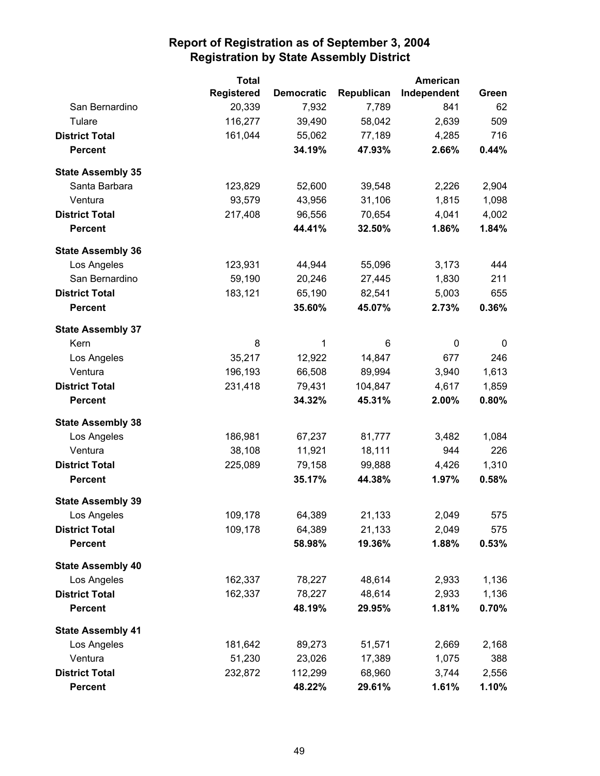|                          | <b>Total</b>      |                   |            | American    |       |
|--------------------------|-------------------|-------------------|------------|-------------|-------|
|                          | <b>Registered</b> | <b>Democratic</b> | Republican | Independent | Green |
| San Bernardino           | 20,339            | 7,932             | 7,789      | 841         | 62    |
| Tulare                   | 116,277           | 39,490            | 58,042     | 2,639       | 509   |
| <b>District Total</b>    | 161,044           | 55,062            | 77,189     | 4,285       | 716   |
| <b>Percent</b>           |                   | 34.19%            | 47.93%     | 2.66%       | 0.44% |
| <b>State Assembly 35</b> |                   |                   |            |             |       |
| Santa Barbara            | 123,829           | 52,600            | 39,548     | 2,226       | 2,904 |
| Ventura                  | 93,579            | 43,956            | 31,106     | 1,815       | 1,098 |
| <b>District Total</b>    | 217,408           | 96,556            | 70,654     | 4,041       | 4,002 |
| <b>Percent</b>           |                   | 44.41%            | 32.50%     | 1.86%       | 1.84% |
| <b>State Assembly 36</b> |                   |                   |            |             |       |
| Los Angeles              | 123,931           | 44,944            | 55,096     | 3,173       | 444   |
| San Bernardino           | 59,190            | 20,246            | 27,445     | 1,830       | 211   |
| <b>District Total</b>    | 183,121           | 65,190            | 82,541     | 5,003       | 655   |
| <b>Percent</b>           |                   | 35.60%            | 45.07%     | 2.73%       | 0.36% |
| <b>State Assembly 37</b> |                   |                   |            |             |       |
| Kern                     | 8                 | 1                 | 6          | 0           | 0     |
| Los Angeles              | 35,217            | 12,922            | 14,847     | 677         | 246   |
| Ventura                  | 196,193           | 66,508            | 89,994     | 3,940       | 1,613 |
| <b>District Total</b>    | 231,418           | 79,431            | 104,847    | 4,617       | 1,859 |
| <b>Percent</b>           |                   | 34.32%            | 45.31%     | 2.00%       | 0.80% |
| <b>State Assembly 38</b> |                   |                   |            |             |       |
| Los Angeles              | 186,981           | 67,237            | 81,777     | 3,482       | 1,084 |
| Ventura                  | 38,108            | 11,921            | 18,111     | 944         | 226   |
| <b>District Total</b>    | 225,089           | 79,158            | 99,888     | 4,426       | 1,310 |
| <b>Percent</b>           |                   | 35.17%            | 44.38%     | 1.97%       | 0.58% |
| <b>State Assembly 39</b> |                   |                   |            |             |       |
| Los Angeles              | 109,178           | 64,389            | 21,133     | 2,049       | 575   |
| <b>District Total</b>    | 109,178           | 64,389            | 21,133     | 2,049       | 575   |
| <b>Percent</b>           |                   | 58.98%            | 19.36%     | 1.88%       | 0.53% |
| <b>State Assembly 40</b> |                   |                   |            |             |       |
| Los Angeles              | 162,337           | 78,227            | 48,614     | 2,933       | 1,136 |
| <b>District Total</b>    | 162,337           | 78,227            | 48,614     | 2,933       | 1,136 |
| <b>Percent</b>           |                   | 48.19%            | 29.95%     | 1.81%       | 0.70% |
| <b>State Assembly 41</b> |                   |                   |            |             |       |
| Los Angeles              | 181,642           | 89,273            | 51,571     | 2,669       | 2,168 |
| Ventura                  | 51,230            | 23,026            | 17,389     | 1,075       | 388   |
| <b>District Total</b>    | 232,872           | 112,299           | 68,960     | 3,744       | 2,556 |
| <b>Percent</b>           |                   | 48.22%            | 29.61%     | 1.61%       | 1.10% |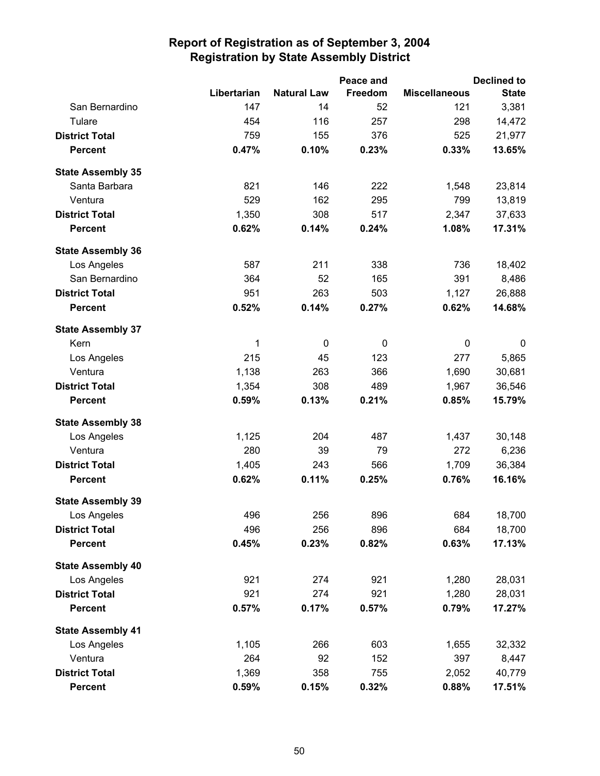|                          |             |                    | Peace and |                      | <b>Declined to</b> |
|--------------------------|-------------|--------------------|-----------|----------------------|--------------------|
|                          | Libertarian | <b>Natural Law</b> | Freedom   | <b>Miscellaneous</b> | <b>State</b>       |
| San Bernardino           | 147         | 14                 | 52        | 121                  | 3,381              |
| Tulare                   | 454         | 116                | 257       | 298                  | 14,472             |
| <b>District Total</b>    | 759         | 155                | 376       | 525                  | 21,977             |
| <b>Percent</b>           | 0.47%       | 0.10%              | 0.23%     | 0.33%                | 13.65%             |
| <b>State Assembly 35</b> |             |                    |           |                      |                    |
| Santa Barbara            | 821         | 146                | 222       | 1,548                | 23,814             |
| Ventura                  | 529         | 162                | 295       | 799                  | 13,819             |
| <b>District Total</b>    | 1,350       | 308                | 517       | 2,347                | 37,633             |
| <b>Percent</b>           | 0.62%       | 0.14%              | 0.24%     | 1.08%                | 17.31%             |
| <b>State Assembly 36</b> |             |                    |           |                      |                    |
| Los Angeles              | 587         | 211                | 338       | 736                  | 18,402             |
| San Bernardino           | 364         | 52                 | 165       | 391                  | 8,486              |
| <b>District Total</b>    | 951         | 263                | 503       | 1,127                | 26,888             |
| <b>Percent</b>           | 0.52%       | 0.14%              | 0.27%     | 0.62%                | 14.68%             |
| <b>State Assembly 37</b> |             |                    |           |                      |                    |
| Kern                     | 1           | 0                  | 0         | 0                    | 0                  |
| Los Angeles              | 215         | 45                 | 123       | 277                  | 5,865              |
| Ventura                  | 1,138       | 263                | 366       | 1,690                | 30,681             |
| <b>District Total</b>    | 1,354       | 308                | 489       | 1,967                | 36,546             |
| <b>Percent</b>           | 0.59%       | 0.13%              | 0.21%     | 0.85%                | 15.79%             |
| <b>State Assembly 38</b> |             |                    |           |                      |                    |
| Los Angeles              | 1,125       | 204                | 487       | 1,437                | 30,148             |
| Ventura                  | 280         | 39                 | 79        | 272                  | 6,236              |
| <b>District Total</b>    | 1,405       | 243                | 566       | 1,709                | 36,384             |
| <b>Percent</b>           | 0.62%       | 0.11%              | 0.25%     | 0.76%                | 16.16%             |
| <b>State Assembly 39</b> |             |                    |           |                      |                    |
| Los Angeles              | 496         | 256                | 896       | 684                  | 18,700             |
| <b>District Total</b>    | 496         | 256                | 896       | 684                  | 18,700             |
| <b>Percent</b>           | 0.45%       | 0.23%              | 0.82%     | 0.63%                | 17.13%             |
| <b>State Assembly 40</b> |             |                    |           |                      |                    |
| Los Angeles              | 921         | 274                | 921       | 1,280                | 28,031             |
| <b>District Total</b>    | 921         | 274                | 921       | 1,280                | 28,031             |
| <b>Percent</b>           | 0.57%       | 0.17%              | 0.57%     | 0.79%                | 17.27%             |
| <b>State Assembly 41</b> |             |                    |           |                      |                    |
| Los Angeles              | 1,105       | 266                | 603       | 1,655                | 32,332             |
| Ventura                  | 264         | 92                 | 152       | 397                  | 8,447              |
| <b>District Total</b>    | 1,369       | 358                | 755       | 2,052                | 40,779             |
| <b>Percent</b>           | 0.59%       | 0.15%              | 0.32%     | 0.88%                | 17.51%             |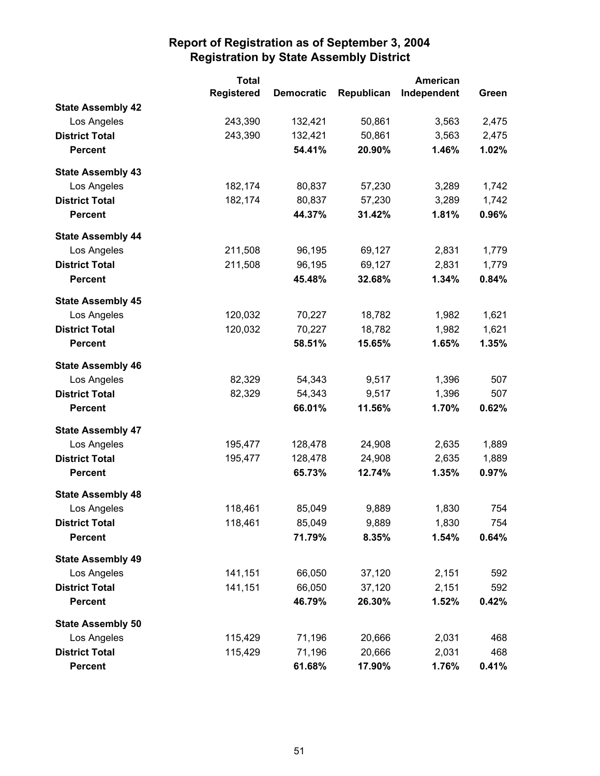|                          | <b>Total</b>      |                   | <b>American</b> |             |       |
|--------------------------|-------------------|-------------------|-----------------|-------------|-------|
|                          | <b>Registered</b> | <b>Democratic</b> | Republican      | Independent | Green |
| <b>State Assembly 42</b> |                   |                   |                 |             |       |
| Los Angeles              | 243,390           | 132,421           | 50,861          | 3,563       | 2,475 |
| <b>District Total</b>    | 243,390           | 132,421           | 50,861          | 3,563       | 2,475 |
| <b>Percent</b>           |                   | 54.41%            | 20.90%          | 1.46%       | 1.02% |
| <b>State Assembly 43</b> |                   |                   |                 |             |       |
| Los Angeles              | 182,174           | 80,837            | 57,230          | 3,289       | 1,742 |
| <b>District Total</b>    | 182,174           | 80,837            | 57,230          | 3,289       | 1,742 |
| <b>Percent</b>           |                   | 44.37%            | 31.42%          | 1.81%       | 0.96% |
| <b>State Assembly 44</b> |                   |                   |                 |             |       |
| Los Angeles              | 211,508           | 96,195            | 69,127          | 2,831       | 1,779 |
| <b>District Total</b>    | 211,508           | 96,195            | 69,127          | 2,831       | 1,779 |
| <b>Percent</b>           |                   | 45.48%            | 32.68%          | 1.34%       | 0.84% |
| <b>State Assembly 45</b> |                   |                   |                 |             |       |
| Los Angeles              | 120,032           | 70,227            | 18,782          | 1,982       | 1,621 |
| <b>District Total</b>    | 120,032           | 70,227            | 18,782          | 1,982       | 1,621 |
| <b>Percent</b>           |                   | 58.51%            | 15.65%          | 1.65%       | 1.35% |
| <b>State Assembly 46</b> |                   |                   |                 |             |       |
| Los Angeles              | 82,329            | 54,343            | 9,517           | 1,396       | 507   |
| <b>District Total</b>    | 82,329            | 54,343            | 9,517           | 1,396       | 507   |
| <b>Percent</b>           |                   | 66.01%            | 11.56%          | 1.70%       | 0.62% |
| <b>State Assembly 47</b> |                   |                   |                 |             |       |
| Los Angeles              | 195,477           | 128,478           | 24,908          | 2,635       | 1,889 |
| <b>District Total</b>    | 195,477           | 128,478           | 24,908          | 2,635       | 1,889 |
| <b>Percent</b>           |                   | 65.73%            | 12.74%          | 1.35%       | 0.97% |
| <b>State Assembly 48</b> |                   |                   |                 |             |       |
| Los Angeles              | 118,461           | 85,049            | 9,889           | 1,830       | 754   |
| <b>District Total</b>    | 118,461           | 85,049            | 9,889           | 1,830       | 754   |
| <b>Percent</b>           |                   | 71.79%            | 8.35%           | 1.54%       | 0.64% |
| <b>State Assembly 49</b> |                   |                   |                 |             |       |
| Los Angeles              | 141,151           | 66,050            | 37,120          | 2,151       | 592   |
| <b>District Total</b>    | 141,151           | 66,050            | 37,120          | 2,151       | 592   |
| <b>Percent</b>           |                   | 46.79%            | 26.30%          | 1.52%       | 0.42% |
| <b>State Assembly 50</b> |                   |                   |                 |             |       |
| Los Angeles              | 115,429           | 71,196            | 20,666          | 2,031       | 468   |
| <b>District Total</b>    | 115,429           | 71,196            | 20,666          | 2,031       | 468   |
| <b>Percent</b>           |                   | 61.68%            | 17.90%          | 1.76%       | 0.41% |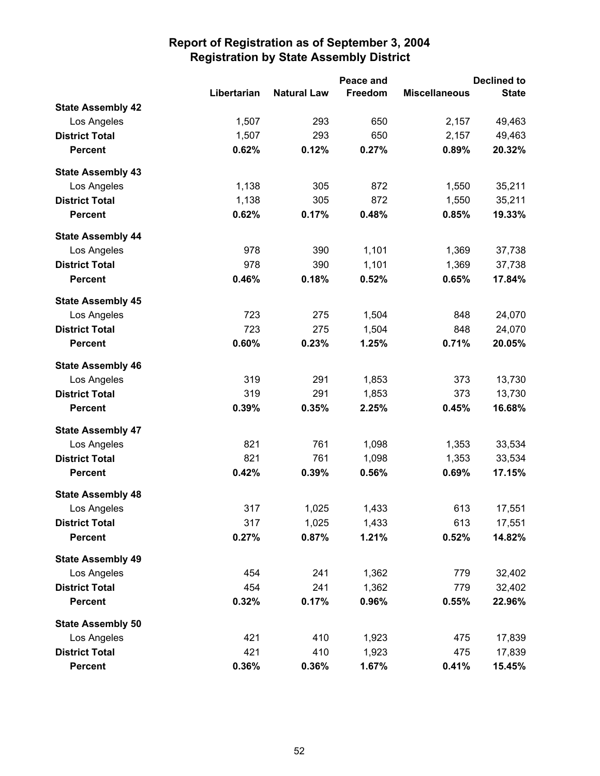|                          |             |                    | Peace and |                      | <b>Declined to</b> |
|--------------------------|-------------|--------------------|-----------|----------------------|--------------------|
|                          | Libertarian | <b>Natural Law</b> | Freedom   | <b>Miscellaneous</b> | <b>State</b>       |
| <b>State Assembly 42</b> |             |                    |           |                      |                    |
| Los Angeles              | 1,507       | 293                | 650       | 2,157                | 49,463             |
| <b>District Total</b>    | 1,507       | 293                | 650       | 2,157                | 49,463             |
| <b>Percent</b>           | 0.62%       | 0.12%              | 0.27%     | 0.89%                | 20.32%             |
| <b>State Assembly 43</b> |             |                    |           |                      |                    |
| Los Angeles              | 1,138       | 305                | 872       | 1,550                | 35,211             |
| <b>District Total</b>    | 1,138       | 305                | 872       | 1,550                | 35,211             |
| <b>Percent</b>           | 0.62%       | 0.17%              | 0.48%     | 0.85%                | 19.33%             |
| <b>State Assembly 44</b> |             |                    |           |                      |                    |
| Los Angeles              | 978         | 390                | 1,101     | 1,369                | 37,738             |
| <b>District Total</b>    | 978         | 390                | 1,101     | 1,369                | 37,738             |
| <b>Percent</b>           | 0.46%       | 0.18%              | 0.52%     | 0.65%                | 17.84%             |
| <b>State Assembly 45</b> |             |                    |           |                      |                    |
| Los Angeles              | 723         | 275                | 1,504     | 848                  | 24,070             |
| <b>District Total</b>    | 723         | 275                | 1,504     | 848                  | 24,070             |
| <b>Percent</b>           | 0.60%       | 0.23%              | 1.25%     | 0.71%                | 20.05%             |
| <b>State Assembly 46</b> |             |                    |           |                      |                    |
| Los Angeles              | 319         | 291                | 1,853     | 373                  | 13,730             |
| <b>District Total</b>    | 319         | 291                | 1,853     | 373                  | 13,730             |
| <b>Percent</b>           | 0.39%       | 0.35%              | 2.25%     | 0.45%                | 16.68%             |
| <b>State Assembly 47</b> |             |                    |           |                      |                    |
| Los Angeles              | 821         | 761                | 1,098     | 1,353                | 33,534             |
| <b>District Total</b>    | 821         | 761                | 1,098     | 1,353                | 33,534             |
| <b>Percent</b>           | 0.42%       | 0.39%              | 0.56%     | 0.69%                | 17.15%             |
| <b>State Assembly 48</b> |             |                    |           |                      |                    |
| Los Angeles              | 317         | 1,025              | 1,433     | 613                  | 17,551             |
| <b>District Total</b>    | 317         | 1,025              | 1,433     | 613                  | 17,551             |
| <b>Percent</b>           | 0.27%       | 0.87%              | 1.21%     | 0.52%                | 14.82%             |
| <b>State Assembly 49</b> |             |                    |           |                      |                    |
| Los Angeles              | 454         | 241                | 1,362     | 779                  | 32,402             |
| <b>District Total</b>    | 454         | 241                | 1,362     | 779                  | 32,402             |
| <b>Percent</b>           | 0.32%       | 0.17%              | 0.96%     | 0.55%                | 22.96%             |
| <b>State Assembly 50</b> |             |                    |           |                      |                    |
| Los Angeles              | 421         | 410                | 1,923     | 475                  | 17,839             |
| <b>District Total</b>    | 421         | 410                | 1,923     | 475                  | 17,839             |
| <b>Percent</b>           | 0.36%       | 0.36%              | 1.67%     | 0.41%                | 15.45%             |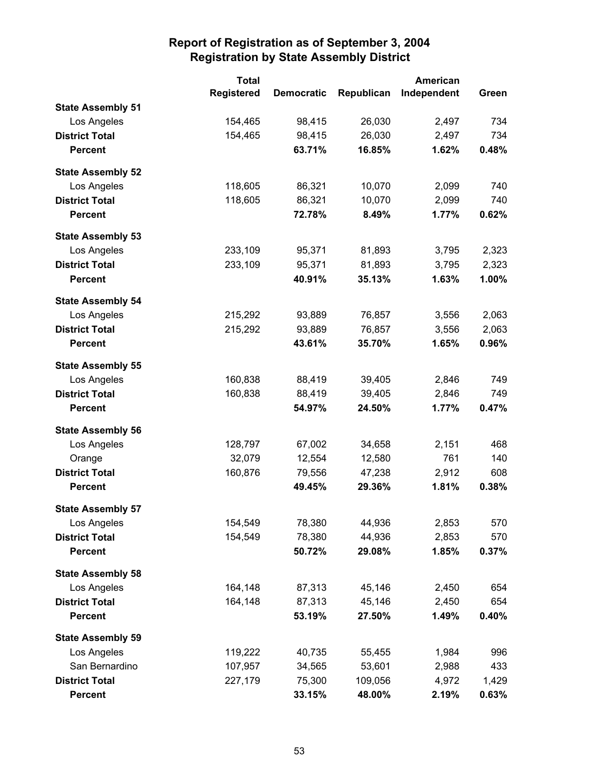|                          | <b>Total</b>      |                   | American   |             |       |
|--------------------------|-------------------|-------------------|------------|-------------|-------|
|                          | <b>Registered</b> | <b>Democratic</b> | Republican | Independent | Green |
| <b>State Assembly 51</b> |                   |                   |            |             |       |
| Los Angeles              | 154,465           | 98,415            | 26,030     | 2,497       | 734   |
| <b>District Total</b>    | 154,465           | 98,415            | 26,030     | 2,497       | 734   |
| <b>Percent</b>           |                   | 63.71%            | 16.85%     | 1.62%       | 0.48% |
| <b>State Assembly 52</b> |                   |                   |            |             |       |
| Los Angeles              | 118,605           | 86,321            | 10,070     | 2,099       | 740   |
| <b>District Total</b>    | 118,605           | 86,321            | 10,070     | 2,099       | 740   |
| <b>Percent</b>           |                   | 72.78%            | 8.49%      | 1.77%       | 0.62% |
| <b>State Assembly 53</b> |                   |                   |            |             |       |
| Los Angeles              | 233,109           | 95,371            | 81,893     | 3,795       | 2,323 |
| <b>District Total</b>    | 233,109           | 95,371            | 81,893     | 3,795       | 2,323 |
| <b>Percent</b>           |                   | 40.91%            | 35.13%     | 1.63%       | 1.00% |
| <b>State Assembly 54</b> |                   |                   |            |             |       |
| Los Angeles              | 215,292           | 93,889            | 76,857     | 3,556       | 2,063 |
| <b>District Total</b>    | 215,292           | 93,889            | 76,857     | 3,556       | 2,063 |
| <b>Percent</b>           |                   | 43.61%            | 35.70%     | 1.65%       | 0.96% |
| <b>State Assembly 55</b> |                   |                   |            |             |       |
| Los Angeles              | 160,838           | 88,419            | 39,405     | 2,846       | 749   |
| <b>District Total</b>    | 160,838           | 88,419            | 39,405     | 2,846       | 749   |
| <b>Percent</b>           |                   | 54.97%            | 24.50%     | 1.77%       | 0.47% |
| <b>State Assembly 56</b> |                   |                   |            |             |       |
| Los Angeles              | 128,797           | 67,002            | 34,658     | 2,151       | 468   |
| Orange                   | 32,079            | 12,554            | 12,580     | 761         | 140   |
| <b>District Total</b>    | 160,876           | 79,556            | 47,238     | 2,912       | 608   |
| <b>Percent</b>           |                   | 49.45%            | 29.36%     | 1.81%       | 0.38% |
| <b>State Assembly 57</b> |                   |                   |            |             |       |
| Los Angeles              | 154,549           | 78,380            | 44,936     | 2,853       | 570   |
| <b>District Total</b>    | 154,549           | 78,380            | 44,936     | 2,853       | 570   |
| <b>Percent</b>           |                   | 50.72%            | 29.08%     | 1.85%       | 0.37% |
| <b>State Assembly 58</b> |                   |                   |            |             |       |
| Los Angeles              | 164,148           | 87,313            | 45,146     | 2,450       | 654   |
| <b>District Total</b>    | 164,148           | 87,313            | 45,146     | 2,450       | 654   |
| <b>Percent</b>           |                   | 53.19%            | 27.50%     | 1.49%       | 0.40% |
| <b>State Assembly 59</b> |                   |                   |            |             |       |
| Los Angeles              | 119,222           | 40,735            | 55,455     | 1,984       | 996   |
| San Bernardino           | 107,957           | 34,565            | 53,601     | 2,988       | 433   |
| <b>District Total</b>    | 227,179           | 75,300            | 109,056    | 4,972       | 1,429 |
| <b>Percent</b>           |                   | 33.15%            | 48.00%     | 2.19%       | 0.63% |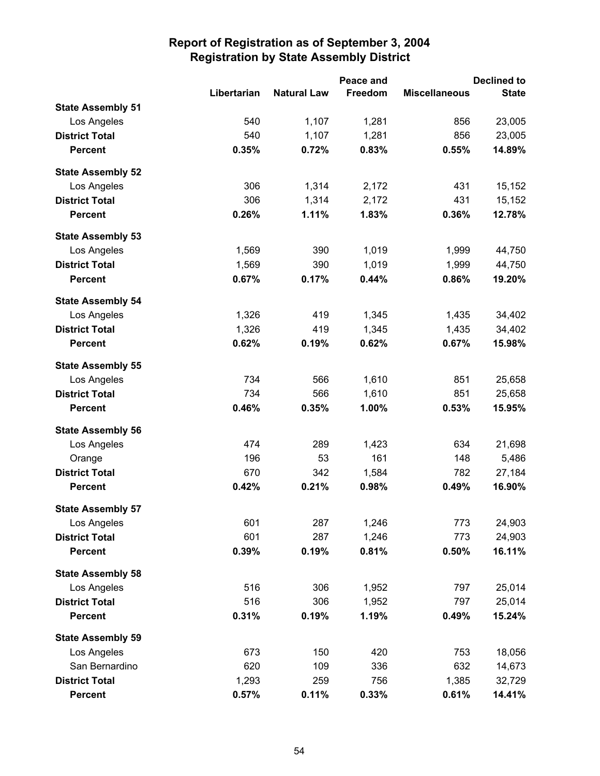|                          |             |                    | Peace and |                      | <b>Declined to</b> |
|--------------------------|-------------|--------------------|-----------|----------------------|--------------------|
|                          | Libertarian | <b>Natural Law</b> | Freedom   | <b>Miscellaneous</b> | <b>State</b>       |
| <b>State Assembly 51</b> |             |                    |           |                      |                    |
| Los Angeles              | 540         | 1,107              | 1,281     | 856                  | 23,005             |
| <b>District Total</b>    | 540         | 1,107              | 1,281     | 856                  | 23,005             |
| <b>Percent</b>           | 0.35%       | 0.72%              | 0.83%     | 0.55%                | 14.89%             |
| <b>State Assembly 52</b> |             |                    |           |                      |                    |
| Los Angeles              | 306         | 1,314              | 2,172     | 431                  | 15,152             |
| <b>District Total</b>    | 306         | 1,314              | 2,172     | 431                  | 15,152             |
| <b>Percent</b>           | 0.26%       | 1.11%              | 1.83%     | 0.36%                | 12.78%             |
| <b>State Assembly 53</b> |             |                    |           |                      |                    |
| Los Angeles              | 1,569       | 390                | 1,019     | 1,999                | 44,750             |
| <b>District Total</b>    | 1,569       | 390                | 1,019     | 1,999                | 44,750             |
| <b>Percent</b>           | 0.67%       | 0.17%              | 0.44%     | 0.86%                | 19.20%             |
| <b>State Assembly 54</b> |             |                    |           |                      |                    |
| Los Angeles              | 1,326       | 419                | 1,345     | 1,435                | 34,402             |
| <b>District Total</b>    | 1,326       | 419                | 1,345     | 1,435                | 34,402             |
| <b>Percent</b>           | 0.62%       | 0.19%              | 0.62%     | 0.67%                | 15.98%             |
| <b>State Assembly 55</b> |             |                    |           |                      |                    |
| Los Angeles              | 734         | 566                | 1,610     | 851                  | 25,658             |
| <b>District Total</b>    | 734         | 566                | 1,610     | 851                  | 25,658             |
| <b>Percent</b>           | 0.46%       | 0.35%              | 1.00%     | 0.53%                | 15.95%             |
| <b>State Assembly 56</b> |             |                    |           |                      |                    |
| Los Angeles              | 474         | 289                | 1,423     | 634                  | 21,698             |
| Orange                   | 196         | 53                 | 161       | 148                  | 5,486              |
| <b>District Total</b>    | 670         | 342                | 1,584     | 782                  | 27,184             |
| <b>Percent</b>           | 0.42%       | 0.21%              | 0.98%     | 0.49%                | 16.90%             |
| <b>State Assembly 57</b> |             |                    |           |                      |                    |
| Los Angeles              | 601         | 287                | 1,246     | 773                  | 24,903             |
| <b>District Total</b>    | 601         | 287                | 1,246     | 773                  | 24,903             |
| <b>Percent</b>           | 0.39%       | 0.19%              | 0.81%     | 0.50%                | 16.11%             |
| <b>State Assembly 58</b> |             |                    |           |                      |                    |
| Los Angeles              | 516         | 306                | 1,952     | 797                  | 25,014             |
| <b>District Total</b>    | 516         | 306                | 1,952     | 797                  | 25,014             |
| <b>Percent</b>           | 0.31%       | 0.19%              | 1.19%     | 0.49%                | 15.24%             |
| <b>State Assembly 59</b> |             |                    |           |                      |                    |
| Los Angeles              | 673         | 150                | 420       | 753                  | 18,056             |
| San Bernardino           | 620         | 109                | 336       | 632                  | 14,673             |
| <b>District Total</b>    | 1,293       | 259                | 756       | 1,385                | 32,729             |
| <b>Percent</b>           | 0.57%       | 0.11%              | 0.33%     | 0.61%                | 14.41%             |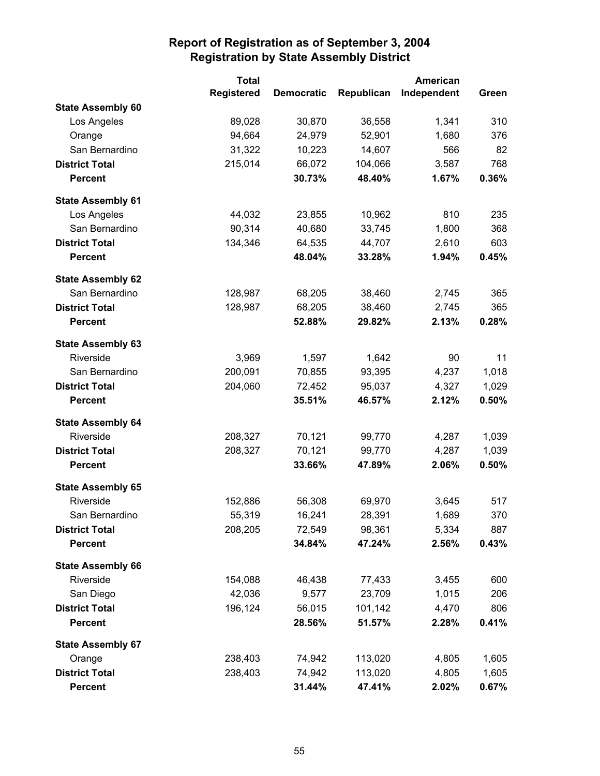|                          | <b>Total</b>      |                   | <b>American</b> |             |       |
|--------------------------|-------------------|-------------------|-----------------|-------------|-------|
|                          | <b>Registered</b> | <b>Democratic</b> | Republican      | Independent | Green |
| <b>State Assembly 60</b> |                   |                   |                 |             |       |
| Los Angeles              | 89,028            | 30,870            | 36,558          | 1,341       | 310   |
| Orange                   | 94,664            | 24,979            | 52,901          | 1,680       | 376   |
| San Bernardino           | 31,322            | 10,223            | 14,607          | 566         | 82    |
| <b>District Total</b>    | 215,014           | 66,072            | 104,066         | 3,587       | 768   |
| <b>Percent</b>           |                   | 30.73%            | 48.40%          | 1.67%       | 0.36% |
| <b>State Assembly 61</b> |                   |                   |                 |             |       |
| Los Angeles              | 44,032            | 23,855            | 10,962          | 810         | 235   |
| San Bernardino           | 90,314            | 40,680            | 33,745          | 1,800       | 368   |
| <b>District Total</b>    | 134,346           | 64,535            | 44,707          | 2,610       | 603   |
| <b>Percent</b>           |                   | 48.04%            | 33.28%          | 1.94%       | 0.45% |
| <b>State Assembly 62</b> |                   |                   |                 |             |       |
| San Bernardino           | 128,987           | 68,205            | 38,460          | 2,745       | 365   |
| <b>District Total</b>    | 128,987           | 68,205            | 38,460          | 2,745       | 365   |
| <b>Percent</b>           |                   | 52.88%            | 29.82%          | 2.13%       | 0.28% |
| <b>State Assembly 63</b> |                   |                   |                 |             |       |
| Riverside                | 3,969             | 1,597             | 1,642           | 90          | 11    |
| San Bernardino           | 200,091           | 70,855            | 93,395          | 4,237       | 1,018 |
| <b>District Total</b>    | 204,060           | 72,452            | 95,037          | 4,327       | 1,029 |
| <b>Percent</b>           |                   | 35.51%            | 46.57%          | 2.12%       | 0.50% |
| <b>State Assembly 64</b> |                   |                   |                 |             |       |
| Riverside                | 208,327           | 70,121            | 99,770          | 4,287       | 1,039 |
| <b>District Total</b>    | 208,327           | 70,121            | 99,770          | 4,287       | 1,039 |
| <b>Percent</b>           |                   | 33.66%            | 47.89%          | 2.06%       | 0.50% |
| <b>State Assembly 65</b> |                   |                   |                 |             |       |
| Riverside                | 152,886           | 56,308            | 69,970          | 3,645       | 517   |
| San Bernardino           | 55,319            | 16,241            | 28,391          | 1,689       | 370   |
| <b>District Total</b>    | 208,205           | 72,549            | 98,361          | 5,334       | 887   |
| <b>Percent</b>           |                   | 34.84%            | 47.24%          | 2.56%       | 0.43% |
| <b>State Assembly 66</b> |                   |                   |                 |             |       |
| Riverside                | 154,088           | 46,438            | 77,433          | 3,455       | 600   |
| San Diego                | 42,036            | 9,577             | 23,709          | 1,015       | 206   |
| <b>District Total</b>    | 196,124           | 56,015            | 101,142         | 4,470       | 806   |
| <b>Percent</b>           |                   | 28.56%            | 51.57%          | 2.28%       | 0.41% |
| <b>State Assembly 67</b> |                   |                   |                 |             |       |
| Orange                   | 238,403           | 74,942            | 113,020         | 4,805       | 1,605 |
| <b>District Total</b>    | 238,403           | 74,942            | 113,020         | 4,805       | 1,605 |
| <b>Percent</b>           |                   | 31.44%            | 47.41%          | 2.02%       | 0.67% |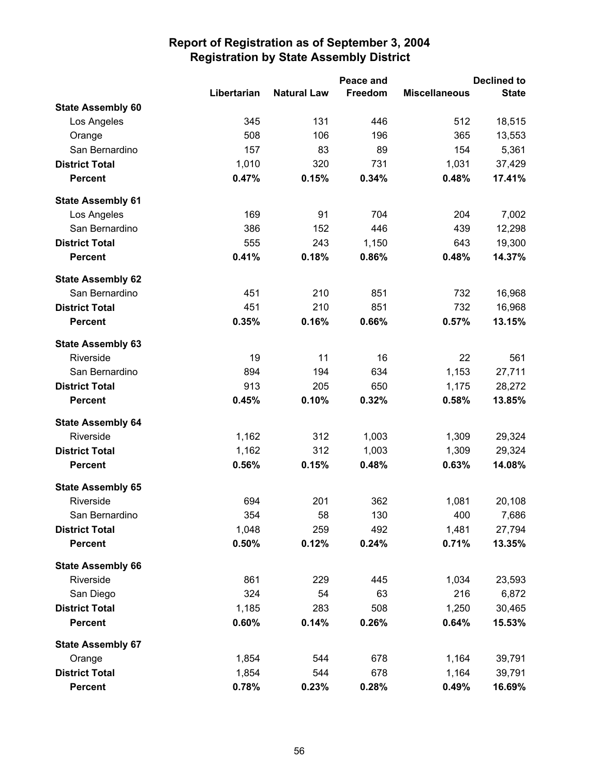|                          |             |                    |         | <b>Declined to</b><br>Peace and |              |  |
|--------------------------|-------------|--------------------|---------|---------------------------------|--------------|--|
|                          | Libertarian | <b>Natural Law</b> | Freedom | <b>Miscellaneous</b>            | <b>State</b> |  |
| <b>State Assembly 60</b> |             |                    |         |                                 |              |  |
| Los Angeles              | 345         | 131                | 446     | 512                             | 18,515       |  |
| Orange                   | 508         | 106                | 196     | 365                             | 13,553       |  |
| San Bernardino           | 157         | 83                 | 89      | 154                             | 5,361        |  |
| <b>District Total</b>    | 1,010       | 320                | 731     | 1,031                           | 37,429       |  |
| <b>Percent</b>           | 0.47%       | 0.15%              | 0.34%   | 0.48%                           | 17.41%       |  |
| <b>State Assembly 61</b> |             |                    |         |                                 |              |  |
| Los Angeles              | 169         | 91                 | 704     | 204                             | 7,002        |  |
| San Bernardino           | 386         | 152                | 446     | 439                             | 12,298       |  |
| <b>District Total</b>    | 555         | 243                | 1,150   | 643                             | 19,300       |  |
| <b>Percent</b>           | 0.41%       | 0.18%              | 0.86%   | 0.48%                           | 14.37%       |  |
| <b>State Assembly 62</b> |             |                    |         |                                 |              |  |
| San Bernardino           | 451         | 210                | 851     | 732                             | 16,968       |  |
| <b>District Total</b>    | 451         | 210                | 851     | 732                             | 16,968       |  |
| <b>Percent</b>           | 0.35%       | 0.16%              | 0.66%   | 0.57%                           | 13.15%       |  |
| <b>State Assembly 63</b> |             |                    |         |                                 |              |  |
| Riverside                | 19          | 11                 | 16      | 22                              | 561          |  |
| San Bernardino           | 894         | 194                | 634     | 1,153                           | 27,711       |  |
| <b>District Total</b>    | 913         | 205                | 650     | 1,175                           | 28,272       |  |
| <b>Percent</b>           | 0.45%       | 0.10%              | 0.32%   | 0.58%                           | 13.85%       |  |
| <b>State Assembly 64</b> |             |                    |         |                                 |              |  |
| Riverside                | 1,162       | 312                | 1,003   | 1,309                           | 29,324       |  |
| <b>District Total</b>    | 1,162       | 312                | 1,003   | 1,309                           | 29,324       |  |
| <b>Percent</b>           | 0.56%       | 0.15%              | 0.48%   | 0.63%                           | 14.08%       |  |
| <b>State Assembly 65</b> |             |                    |         |                                 |              |  |
| Riverside                | 694         | 201                | 362     | 1,081                           | 20,108       |  |
| San Bernardino           | 354         | 58                 | 130     | 400                             | 7,686        |  |
| <b>District Total</b>    | 1,048       | 259                | 492     | 1,481                           | 27,794       |  |
| <b>Percent</b>           | 0.50%       | 0.12%              | 0.24%   | 0.71%                           | 13.35%       |  |
| <b>State Assembly 66</b> |             |                    |         |                                 |              |  |
| Riverside                | 861         | 229                | 445     | 1,034                           | 23,593       |  |
| San Diego                | 324         | 54                 | 63      | 216                             | 6,872        |  |
| <b>District Total</b>    | 1,185       | 283                | 508     | 1,250                           | 30,465       |  |
| <b>Percent</b>           | 0.60%       | 0.14%              | 0.26%   | 0.64%                           | 15.53%       |  |
| <b>State Assembly 67</b> |             |                    |         |                                 |              |  |
| Orange                   | 1,854       | 544                | 678     | 1,164                           | 39,791       |  |
| <b>District Total</b>    | 1,854       | 544                | 678     | 1,164                           | 39,791       |  |
| <b>Percent</b>           | 0.78%       | 0.23%              | 0.28%   | 0.49%                           | 16.69%       |  |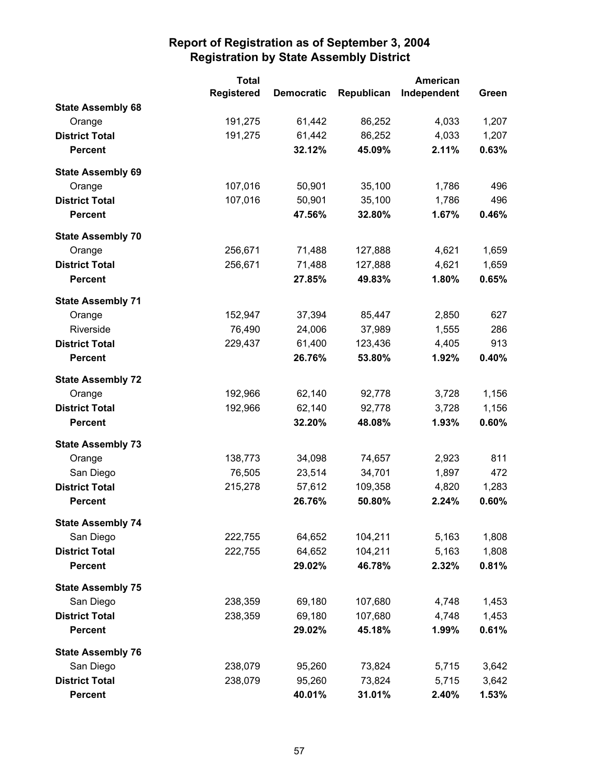|                          | <b>Total</b>      |                   | <b>American</b> |             |       |  |
|--------------------------|-------------------|-------------------|-----------------|-------------|-------|--|
|                          | <b>Registered</b> | <b>Democratic</b> | Republican      | Independent | Green |  |
| <b>State Assembly 68</b> |                   |                   |                 |             |       |  |
| Orange                   | 191,275           | 61,442            | 86,252          | 4,033       | 1,207 |  |
| <b>District Total</b>    | 191,275           | 61,442            | 86,252          | 4,033       | 1,207 |  |
| <b>Percent</b>           |                   | 32.12%            | 45.09%          | 2.11%       | 0.63% |  |
| <b>State Assembly 69</b> |                   |                   |                 |             |       |  |
| Orange                   | 107,016           | 50,901            | 35,100          | 1,786       | 496   |  |
| <b>District Total</b>    | 107,016           | 50,901            | 35,100          | 1,786       | 496   |  |
| <b>Percent</b>           |                   | 47.56%            | 32.80%          | 1.67%       | 0.46% |  |
| <b>State Assembly 70</b> |                   |                   |                 |             |       |  |
| Orange                   | 256,671           | 71,488            | 127,888         | 4,621       | 1,659 |  |
| <b>District Total</b>    | 256,671           | 71,488            | 127,888         | 4,621       | 1,659 |  |
| <b>Percent</b>           |                   | 27.85%            | 49.83%          | 1.80%       | 0.65% |  |
| <b>State Assembly 71</b> |                   |                   |                 |             |       |  |
| Orange                   | 152,947           | 37,394            | 85,447          | 2,850       | 627   |  |
| Riverside                | 76,490            | 24,006            | 37,989          | 1,555       | 286   |  |
| <b>District Total</b>    | 229,437           | 61,400            | 123,436         | 4,405       | 913   |  |
| <b>Percent</b>           |                   | 26.76%            | 53.80%          | 1.92%       | 0.40% |  |
| <b>State Assembly 72</b> |                   |                   |                 |             |       |  |
| Orange                   | 192,966           | 62,140            | 92,778          | 3,728       | 1,156 |  |
| <b>District Total</b>    | 192,966           | 62,140            | 92,778          | 3,728       | 1,156 |  |
| <b>Percent</b>           |                   | 32.20%            | 48.08%          | 1.93%       | 0.60% |  |
| <b>State Assembly 73</b> |                   |                   |                 |             |       |  |
| Orange                   | 138,773           | 34,098            | 74,657          | 2,923       | 811   |  |
| San Diego                | 76,505            | 23,514            | 34,701          | 1,897       | 472   |  |
| <b>District Total</b>    | 215,278           | 57,612            | 109,358         | 4,820       | 1,283 |  |
| <b>Percent</b>           |                   | 26.76%            | 50.80%          | 2.24%       | 0.60% |  |
| <b>State Assembly 74</b> |                   |                   |                 |             |       |  |
| San Diego                | 222,755           | 64,652            | 104,211         | 5,163       | 1,808 |  |
| <b>District Total</b>    | 222,755           | 64,652            | 104,211         | 5,163       | 1,808 |  |
| <b>Percent</b>           |                   | 29.02%            | 46.78%          | 2.32%       | 0.81% |  |
| <b>State Assembly 75</b> |                   |                   |                 |             |       |  |
| San Diego                | 238,359           | 69,180            | 107,680         | 4,748       | 1,453 |  |
| <b>District Total</b>    | 238,359           | 69,180            | 107,680         | 4,748       | 1,453 |  |
| <b>Percent</b>           |                   | 29.02%            | 45.18%          | 1.99%       | 0.61% |  |
| <b>State Assembly 76</b> |                   |                   |                 |             |       |  |
| San Diego                | 238,079           | 95,260            | 73,824          | 5,715       | 3,642 |  |
| <b>District Total</b>    | 238,079           | 95,260            | 73,824          | 5,715       | 3,642 |  |
| <b>Percent</b>           |                   | 40.01%            | 31.01%          | 2.40%       | 1.53% |  |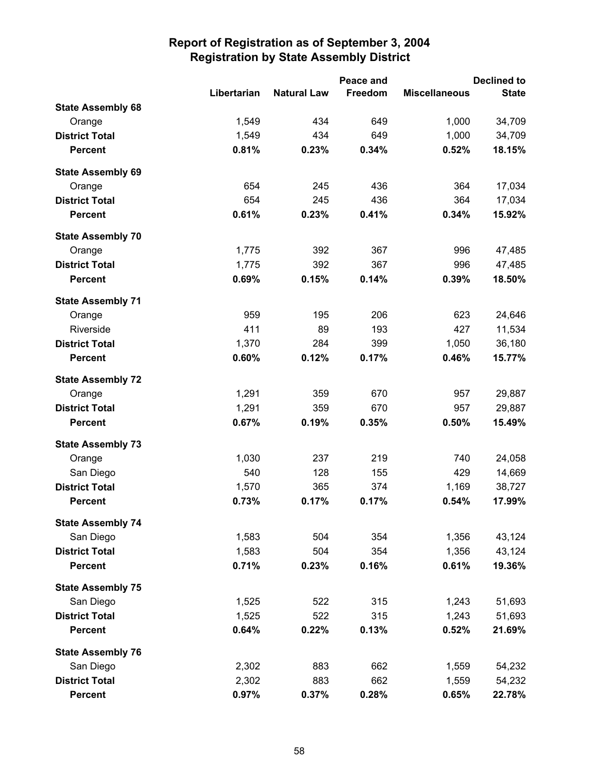|                          |             |                    | Peace and |                      | <b>Declined to</b> |
|--------------------------|-------------|--------------------|-----------|----------------------|--------------------|
|                          | Libertarian | <b>Natural Law</b> | Freedom   | <b>Miscellaneous</b> | <b>State</b>       |
| <b>State Assembly 68</b> |             |                    |           |                      |                    |
| Orange                   | 1,549       | 434                | 649       | 1,000                | 34,709             |
| <b>District Total</b>    | 1,549       | 434                | 649       | 1,000                | 34,709             |
| <b>Percent</b>           | 0.81%       | 0.23%              | 0.34%     | 0.52%                | 18.15%             |
| <b>State Assembly 69</b> |             |                    |           |                      |                    |
| Orange                   | 654         | 245                | 436       | 364                  | 17,034             |
| <b>District Total</b>    | 654         | 245                | 436       | 364                  | 17,034             |
| <b>Percent</b>           | 0.61%       | 0.23%              | 0.41%     | 0.34%                | 15.92%             |
| <b>State Assembly 70</b> |             |                    |           |                      |                    |
| Orange                   | 1,775       | 392                | 367       | 996                  | 47,485             |
| <b>District Total</b>    | 1,775       | 392                | 367       | 996                  | 47,485             |
| <b>Percent</b>           | 0.69%       | 0.15%              | 0.14%     | 0.39%                | 18.50%             |
| <b>State Assembly 71</b> |             |                    |           |                      |                    |
| Orange                   | 959         | 195                | 206       | 623                  | 24,646             |
| Riverside                | 411         | 89                 | 193       | 427                  | 11,534             |
| <b>District Total</b>    | 1,370       | 284                | 399       | 1,050                | 36,180             |
| <b>Percent</b>           | 0.60%       | 0.12%              | 0.17%     | 0.46%                | 15.77%             |
| <b>State Assembly 72</b> |             |                    |           |                      |                    |
| Orange                   | 1,291       | 359                | 670       | 957                  | 29,887             |
| <b>District Total</b>    | 1,291       | 359                | 670       | 957                  | 29,887             |
| <b>Percent</b>           | 0.67%       | 0.19%              | 0.35%     | 0.50%                | 15.49%             |
| <b>State Assembly 73</b> |             |                    |           |                      |                    |
| Orange                   | 1,030       | 237                | 219       | 740                  | 24,058             |
| San Diego                | 540         | 128                | 155       | 429                  | 14,669             |
| <b>District Total</b>    | 1,570       | 365                | 374       | 1,169                | 38,727             |
| <b>Percent</b>           | 0.73%       | 0.17%              | 0.17%     | 0.54%                | 17.99%             |
| <b>State Assembly 74</b> |             |                    |           |                      |                    |
| San Diego                | 1,583       | 504                | 354       | 1,356                | 43,124             |
| <b>District Total</b>    | 1,583       | 504                | 354       | 1,356                | 43,124             |
| <b>Percent</b>           | 0.71%       | 0.23%              | 0.16%     | 0.61%                | 19.36%             |
| <b>State Assembly 75</b> |             |                    |           |                      |                    |
| San Diego                | 1,525       | 522                | 315       | 1,243                | 51,693             |
| <b>District Total</b>    | 1,525       | 522                | 315       | 1,243                | 51,693             |
| <b>Percent</b>           | 0.64%       | 0.22%              | 0.13%     | 0.52%                | 21.69%             |
| <b>State Assembly 76</b> |             |                    |           |                      |                    |
| San Diego                | 2,302       | 883                | 662       | 1,559                | 54,232             |
| <b>District Total</b>    | 2,302       | 883                | 662       | 1,559                | 54,232             |
| <b>Percent</b>           | 0.97%       | 0.37%              | 0.28%     | 0.65%                | 22.78%             |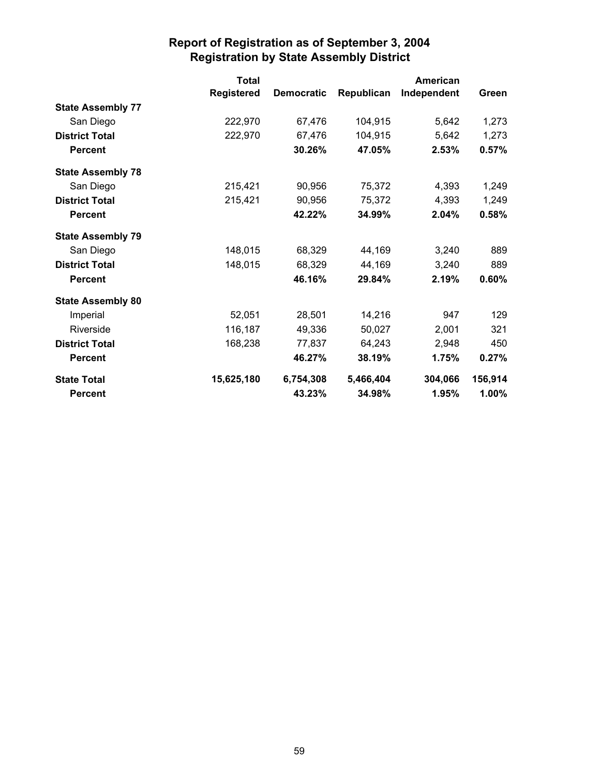|                          | <b>Total</b>      |                   |            | <b>American</b> |         |
|--------------------------|-------------------|-------------------|------------|-----------------|---------|
|                          | <b>Registered</b> | <b>Democratic</b> | Republican | Independent     | Green   |
| <b>State Assembly 77</b> |                   |                   |            |                 |         |
| San Diego                | 222,970           | 67,476            | 104,915    | 5,642           | 1,273   |
| <b>District Total</b>    | 222,970           | 67,476            | 104,915    | 5,642           | 1,273   |
| <b>Percent</b>           |                   | 30.26%            | 47.05%     | 2.53%           | 0.57%   |
| <b>State Assembly 78</b> |                   |                   |            |                 |         |
| San Diego                | 215,421           | 90,956            | 75,372     | 4,393           | 1,249   |
| <b>District Total</b>    | 215,421           | 90,956            | 75,372     | 4,393           | 1,249   |
| <b>Percent</b>           |                   | 42.22%            | 34.99%     | 2.04%           | 0.58%   |
| <b>State Assembly 79</b> |                   |                   |            |                 |         |
| San Diego                | 148,015           | 68,329            | 44,169     | 3,240           | 889     |
| <b>District Total</b>    | 148,015           | 68,329            | 44,169     | 3,240           | 889     |
| <b>Percent</b>           |                   | 46.16%            | 29.84%     | 2.19%           | 0.60%   |
| <b>State Assembly 80</b> |                   |                   |            |                 |         |
| Imperial                 | 52,051            | 28,501            | 14,216     | 947             | 129     |
| Riverside                | 116,187           | 49,336            | 50,027     | 2,001           | 321     |
| <b>District Total</b>    | 168,238           | 77,837            | 64,243     | 2,948           | 450     |
| <b>Percent</b>           |                   | 46.27%            | 38.19%     | 1.75%           | 0.27%   |
| <b>State Total</b>       | 15,625,180        | 6,754,308         | 5,466,404  | 304,066         | 156,914 |
| <b>Percent</b>           |                   | 43.23%            | 34.98%     | 1.95%           | 1.00%   |